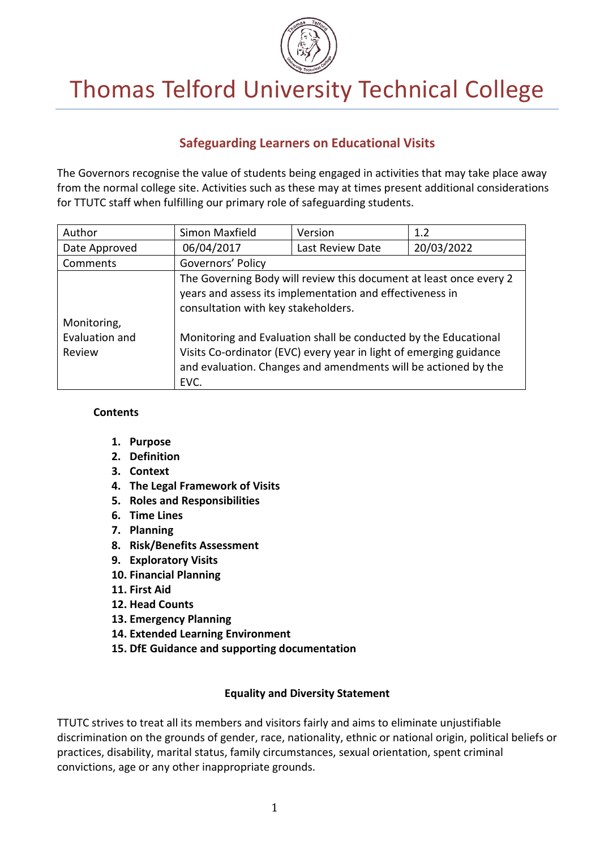

# Thomas Telford University Technical College

# **Safeguarding Learners on Educational Visits**

The Governors recognise the value of students being engaged in activities that may take place away from the normal college site. Activities such as these may at times present additional considerations for TTUTC staff when fulfilling our primary role of safeguarding students.

| Author                                  | Simon Maxfield                                                                                                                                                                                                  | Version                                                                                                                        | 1.2        |  |
|-----------------------------------------|-----------------------------------------------------------------------------------------------------------------------------------------------------------------------------------------------------------------|--------------------------------------------------------------------------------------------------------------------------------|------------|--|
| Date Approved                           | 06/04/2017                                                                                                                                                                                                      | Last Review Date                                                                                                               | 20/03/2022 |  |
| Comments                                | Governors' Policy                                                                                                                                                                                               |                                                                                                                                |            |  |
|                                         | consultation with key stakeholders.                                                                                                                                                                             | The Governing Body will review this document at least once every 2<br>years and assess its implementation and effectiveness in |            |  |
| Monitoring,<br>Evaluation and<br>Review | Monitoring and Evaluation shall be conducted by the Educational<br>Visits Co-ordinator (EVC) every year in light of emerging guidance<br>and evaluation. Changes and amendments will be actioned by the<br>EVC. |                                                                                                                                |            |  |

#### **Contents**

- **1. Purpose**
- **2. Definition**
- **3. Context**
- **4. The Legal Framework of Visits**
- **5. Roles and Responsibilities**
- **6. Time Lines**
- **7. Planning**
- **8. Risk/Benefits Assessment**
- **9. Exploratory Visits**
- **10. Financial Planning**
- **11. First Aid**
- **12. Head Counts**
- **13. Emergency Planning**
- **14. Extended Learning Environment**
- **15. DfE Guidance and supporting documentation**

# **Equality and Diversity Statement**

TTUTC strives to treat all its members and visitors fairly and aims to eliminate unjustifiable discrimination on the grounds of gender, race, nationality, ethnic or national origin, political beliefs or practices, disability, marital status, family circumstances, sexual orientation, spent criminal convictions, age or any other inappropriate grounds.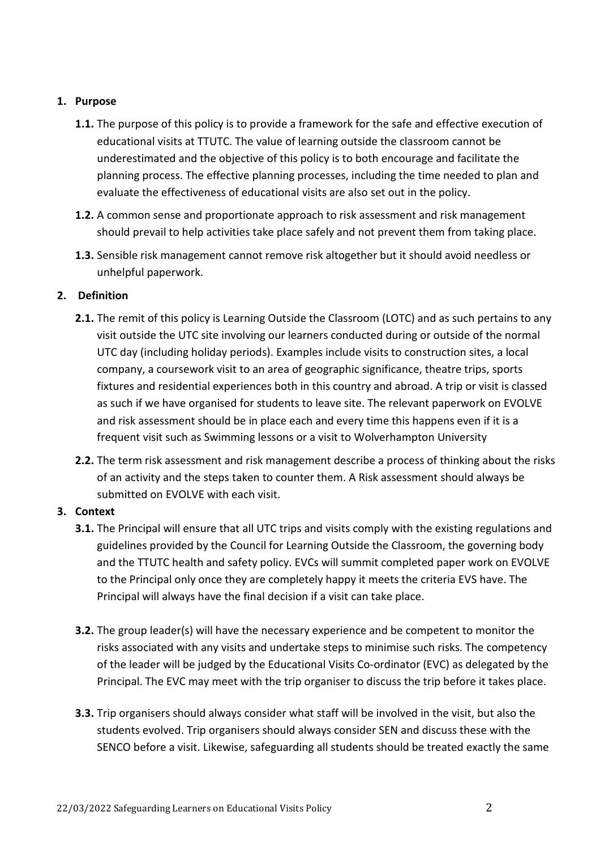## **1. Purpose**

- **1.1.** The purpose of this policy is to provide a framework for the safe and effective execution of educational visits at TTUTC. The value of learning outside the classroom cannot be underestimated and the objective of this policy is to both encourage and facilitate the planning process. The effective planning processes, including the time needed to plan and evaluate the effectiveness of educational visits are also set out in the policy.
- **1.2.** A common sense and proportionate approach to risk assessment and risk management should prevail to help activities take place safely and not prevent them from taking place.
- **1.3.** Sensible risk management cannot remove risk altogether but it should avoid needless or unhelpful paperwork.

# **2. Definition**

- **2.1.** The remit of this policy is Learning Outside the Classroom (LOTC) and as such pertains to any visit outside the UTC site involving our learners conducted during or outside of the normal UTC day (including holiday periods). Examples include visits to construction sites, a local company, a coursework visit to an area of geographic significance, theatre trips, sports fixtures and residential experiences both in this country and abroad. A trip or visit is classed as such if we have organised for students to leave site. The relevant paperwork on EVOLVE and risk assessment should be in place each and every time this happens even if it is a frequent visit such as Swimming lessons or a visit to Wolverhampton University
- **2.2.** The term risk assessment and risk management describe a process of thinking about the risks of an activity and the steps taken to counter them. A Risk assessment should always be submitted on EVOLVE with each visit.

# **3. Context**

- **3.1.** The Principal will ensure that all UTC trips and visits comply with the existing regulations and guidelines provided by the Council for Learning Outside the Classroom, the governing body and the TTUTC health and safety policy. EVCs will summit completed paper work on EVOLVE to the Principal only once they are completely happy it meets the criteria EVS have. The Principal will always have the final decision if a visit can take place.
- **3.2.** The group leader(s) will have the necessary experience and be competent to monitor the risks associated with any visits and undertake steps to minimise such risks. The competency of the leader will be judged by the Educational Visits Co-ordinator (EVC) as delegated by the Principal. The EVC may meet with the trip organiser to discuss the trip before it takes place.
- **3.3.** Trip organisers should always consider what staff will be involved in the visit, but also the students evolved. Trip organisers should always consider SEN and discuss these with the SENCO before a visit. Likewise, safeguarding all students should be treated exactly the same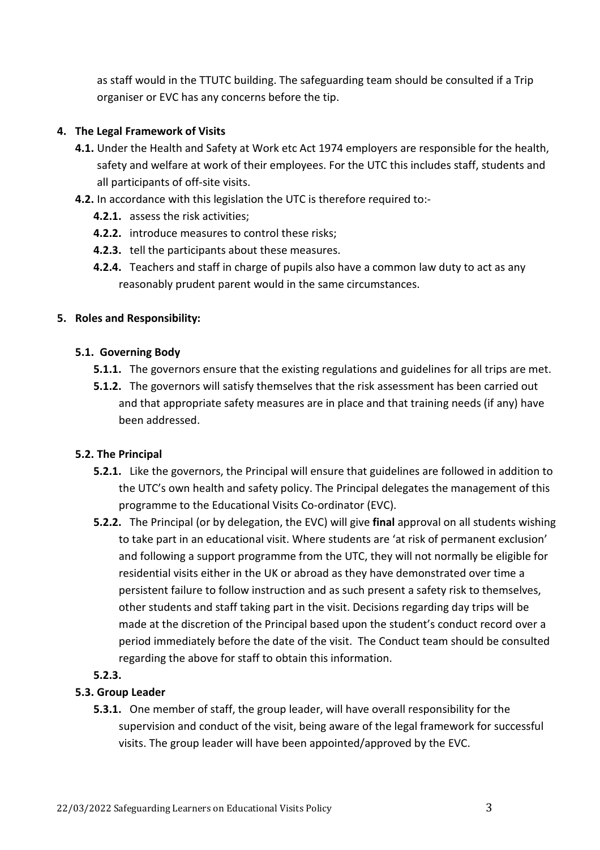as staff would in the TTUTC building. The safeguarding team should be consulted if a Trip organiser or EVC has any concerns before the tip.

## **4. The Legal Framework of Visits**

- **4.1.** Under the Health and Safety at Work etc Act 1974 employers are responsible for the health, safety and welfare at work of their employees. For the UTC this includes staff, students and all participants of off-site visits.
- **4.2.** In accordance with this legislation the UTC is therefore required to:-
	- **4.2.1.** assess the risk activities;
	- **4.2.2.** introduce measures to control these risks;
	- **4.2.3.** tell the participants about these measures.
	- **4.2.4.** Teachers and staff in charge of pupils also have a common law duty to act as any reasonably prudent parent would in the same circumstances.

#### **5. Roles and Responsibility:**

## **5.1. Governing Body**

- **5.1.1.** The governors ensure that the existing regulations and guidelines for all trips are met.
- **5.1.2.** The governors will satisfy themselves that the risk assessment has been carried out and that appropriate safety measures are in place and that training needs (if any) have been addressed.

# **5.2. The Principal**

- **5.2.1.** Like the governors, the Principal will ensure that guidelines are followed in addition to the UTC's own health and safety policy. The Principal delegates the management of this programme to the Educational Visits Co-ordinator (EVC).
- **5.2.2.** The Principal (or by delegation, the EVC) will give **final** approval on all students wishing to take part in an educational visit. Where students are 'at risk of permanent exclusion' and following a support programme from the UTC, they will not normally be eligible for residential visits either in the UK or abroad as they have demonstrated over time a persistent failure to follow instruction and as such present a safety risk to themselves, other students and staff taking part in the visit. Decisions regarding day trips will be made at the discretion of the Principal based upon the student's conduct record over a period immediately before the date of the visit. The Conduct team should be consulted regarding the above for staff to obtain this information.

# **5.2.3.**

# **5.3. Group Leader**

**5.3.1.** One member of staff, the group leader, will have overall responsibility for the supervision and conduct of the visit, being aware of the legal framework for successful visits. The group leader will have been appointed/approved by the EVC.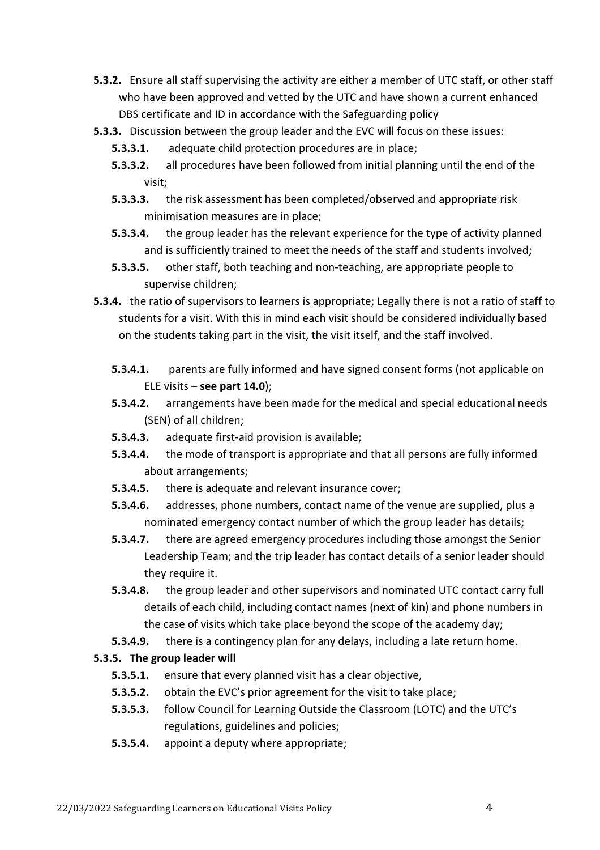- **5.3.2.** Ensure all staff supervising the activity are either a member of UTC staff, or other staff who have been approved and vetted by the UTC and have shown a current enhanced DBS certificate and ID in accordance with the Safeguarding policy
- **5.3.3.** Discussion between the group leader and the EVC will focus on these issues:
	- **5.3.3.1.** adequate child protection procedures are in place;
	- **5.3.3.2.** all procedures have been followed from initial planning until the end of the visit;
	- **5.3.3.3.** the risk assessment has been completed/observed and appropriate risk minimisation measures are in place;
	- **5.3.3.4.** the group leader has the relevant experience for the type of activity planned and is sufficiently trained to meet the needs of the staff and students involved;
	- **5.3.3.5.** other staff, both teaching and non-teaching, are appropriate people to supervise children;
- **5.3.4.** the ratio of supervisors to learners is appropriate; Legally there is not a ratio of staff to students for a visit. With this in mind each visit should be considered individually based on the students taking part in the visit, the visit itself, and the staff involved.
	- **5.3.4.1.** parents are fully informed and have signed consent forms (not applicable on ELE visits – **see part 14.0**);
	- **5.3.4.2.** arrangements have been made for the medical and special educational needs (SEN) of all children;
	- **5.3.4.3.** adequate first-aid provision is available;
	- **5.3.4.4.** the mode of transport is appropriate and that all persons are fully informed about arrangements;
	- **5.3.4.5.** there is adequate and relevant insurance cover;
	- **5.3.4.6.** addresses, phone numbers, contact name of the venue are supplied, plus a nominated emergency contact number of which the group leader has details;
	- **5.3.4.7.** there are agreed emergency procedures including those amongst the Senior Leadership Team; and the trip leader has contact details of a senior leader should they require it.
	- **5.3.4.8.** the group leader and other supervisors and nominated UTC contact carry full details of each child, including contact names (next of kin) and phone numbers in the case of visits which take place beyond the scope of the academy day;
	- **5.3.4.9.** there is a contingency plan for any delays, including a late return home.

# **5.3.5. The group leader will**

- **5.3.5.1.** ensure that every planned visit has a clear objective,
- **5.3.5.2.** obtain the EVC's prior agreement for the visit to take place;
- **5.3.5.3.** follow Council for Learning Outside the Classroom (LOTC) and the UTC's regulations, guidelines and policies;
- **5.3.5.4.** appoint a deputy where appropriate;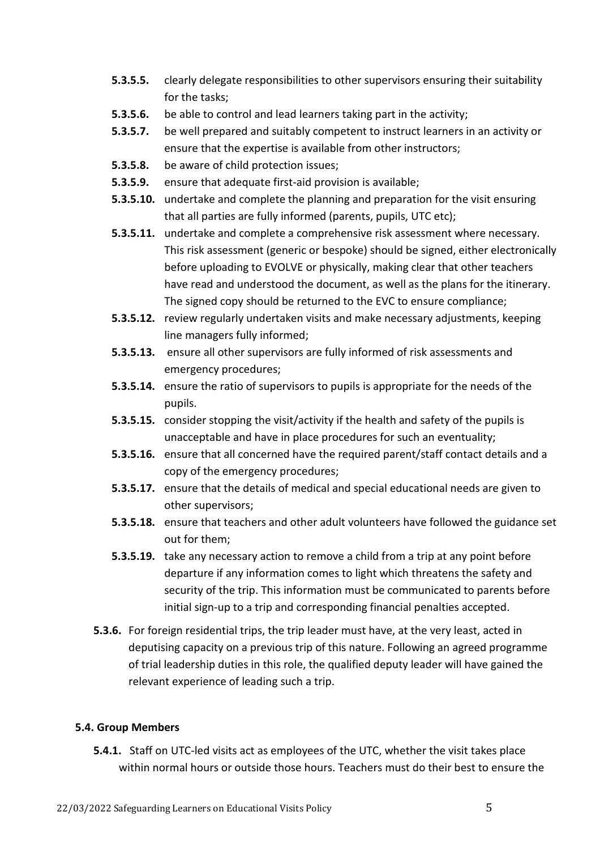- **5.3.5.5.** clearly delegate responsibilities to other supervisors ensuring their suitability for the tasks;
- **5.3.5.6.** be able to control and lead learners taking part in the activity;
- **5.3.5.7.** be well prepared and suitably competent to instruct learners in an activity or ensure that the expertise is available from other instructors;
- **5.3.5.8.** be aware of child protection issues;
- **5.3.5.9.** ensure that adequate first-aid provision is available;
- **5.3.5.10.** undertake and complete the planning and preparation for the visit ensuring that all parties are fully informed (parents, pupils, UTC etc);
- **5.3.5.11.** undertake and complete a comprehensive risk assessment where necessary. This risk assessment (generic or bespoke) should be signed, either electronically before uploading to EVOLVE or physically, making clear that other teachers have read and understood the document, as well as the plans for the itinerary. The signed copy should be returned to the EVC to ensure compliance;
- **5.3.5.12.** review regularly undertaken visits and make necessary adjustments, keeping line managers fully informed;
- **5.3.5.13.** ensure all other supervisors are fully informed of risk assessments and emergency procedures;
- **5.3.5.14.** ensure the ratio of supervisors to pupils is appropriate for the needs of the pupils.
- **5.3.5.15.** consider stopping the visit/activity if the health and safety of the pupils is unacceptable and have in place procedures for such an eventuality;
- **5.3.5.16.** ensure that all concerned have the required parent/staff contact details and a copy of the emergency procedures;
- **5.3.5.17.** ensure that the details of medical and special educational needs are given to other supervisors;
- **5.3.5.18.** ensure that teachers and other adult volunteers have followed the guidance set out for them;
- **5.3.5.19.** take any necessary action to remove a child from a trip at any point before departure if any information comes to light which threatens the safety and security of the trip. This information must be communicated to parents before initial sign-up to a trip and corresponding financial penalties accepted.
- **5.3.6.** For foreign residential trips, the trip leader must have, at the very least, acted in deputising capacity on a previous trip of this nature. Following an agreed programme of trial leadership duties in this role, the qualified deputy leader will have gained the relevant experience of leading such a trip.

# **5.4. Group Members**

**5.4.1.** Staff on UTC-led visits act as employees of the UTC, whether the visit takes place within normal hours or outside those hours. Teachers must do their best to ensure the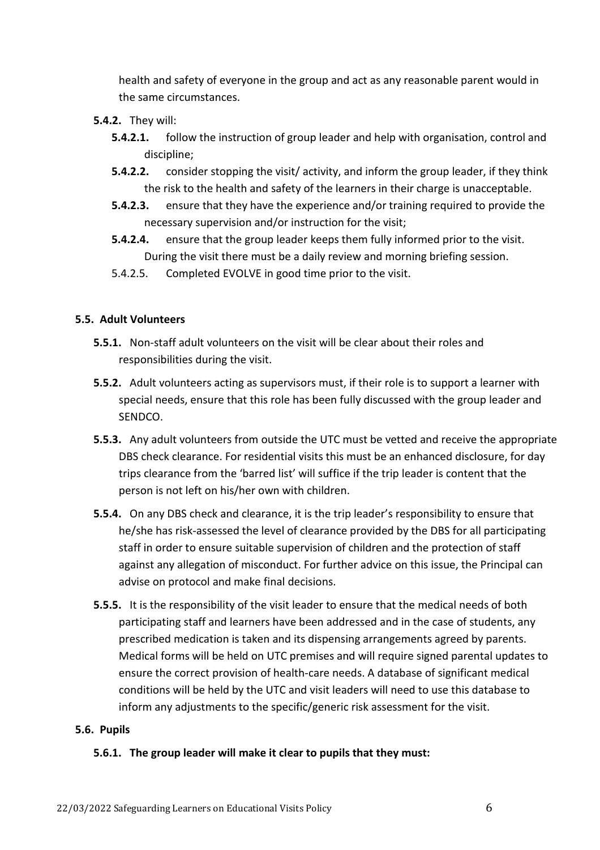health and safety of everyone in the group and act as any reasonable parent would in the same circumstances.

- **5.4.2.** They will:
	- **5.4.2.1.** follow the instruction of group leader and help with organisation, control and discipline;
	- **5.4.2.2.** consider stopping the visit/ activity, and inform the group leader, if they think the risk to the health and safety of the learners in their charge is unacceptable.
	- **5.4.2.3.** ensure that they have the experience and/or training required to provide the necessary supervision and/or instruction for the visit;
	- **5.4.2.4.** ensure that the group leader keeps them fully informed prior to the visit. During the visit there must be a daily review and morning briefing session.
	- 5.4.2.5. Completed EVOLVE in good time prior to the visit.

# **5.5. Adult Volunteers**

- **5.5.1.** Non-staff adult volunteers on the visit will be clear about their roles and responsibilities during the visit.
- **5.5.2.** Adult volunteers acting as supervisors must, if their role is to support a learner with special needs, ensure that this role has been fully discussed with the group leader and SENDCO.
- **5.5.3.** Any adult volunteers from outside the UTC must be vetted and receive the appropriate DBS check clearance. For residential visits this must be an enhanced disclosure, for day trips clearance from the 'barred list' will suffice if the trip leader is content that the person is not left on his/her own with children.
- **5.5.4.** On any DBS check and clearance, it is the trip leader's responsibility to ensure that he/she has risk-assessed the level of clearance provided by the DBS for all participating staff in order to ensure suitable supervision of children and the protection of staff against any allegation of misconduct. For further advice on this issue, the Principal can advise on protocol and make final decisions.
- **5.5.5.** It is the responsibility of the visit leader to ensure that the medical needs of both participating staff and learners have been addressed and in the case of students, any prescribed medication is taken and its dispensing arrangements agreed by parents. Medical forms will be held on UTC premises and will require signed parental updates to ensure the correct provision of health-care needs. A database of significant medical conditions will be held by the UTC and visit leaders will need to use this database to inform any adjustments to the specific/generic risk assessment for the visit.

#### **5.6. Pupils**

# **5.6.1. The group leader will make it clear to pupils that they must:**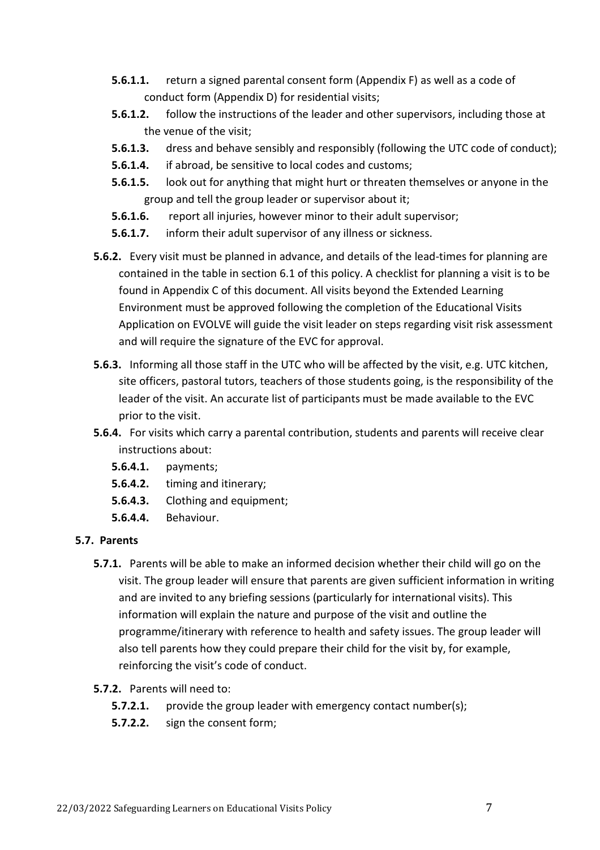- **5.6.1.1.** return a signed parental consent form (Appendix F) as well as a code of conduct form (Appendix D) for residential visits;
- **5.6.1.2.** follow the instructions of the leader and other supervisors, including those at the venue of the visit;
- **5.6.1.3.** dress and behave sensibly and responsibly (following the UTC code of conduct);
- **5.6.1.4.** if abroad, be sensitive to local codes and customs;
- **5.6.1.5.** look out for anything that might hurt or threaten themselves or anyone in the group and tell the group leader or supervisor about it;
- **5.6.1.6.** report all injuries, however minor to their adult supervisor;
- **5.6.1.7.** inform their adult supervisor of any illness or sickness.
- **5.6.2.** Every visit must be planned in advance, and details of the lead-times for planning are contained in the table in section 6.1 of this policy. A checklist for planning a visit is to be found in Appendix C of this document. All visits beyond the Extended Learning Environment must be approved following the completion of the Educational Visits Application on EVOLVE will guide the visit leader on steps regarding visit risk assessment and will require the signature of the EVC for approval.
- **5.6.3.** Informing all those staff in the UTC who will be affected by the visit, e.g. UTC kitchen, site officers, pastoral tutors, teachers of those students going, is the responsibility of the leader of the visit. An accurate list of participants must be made available to the EVC prior to the visit.
- **5.6.4.** For visits which carry a parental contribution, students and parents will receive clear instructions about:
	- **5.6.4.1.** payments;
	- **5.6.4.2.** timing and itinerary;
	- **5.6.4.3.** Clothing and equipment;
	- **5.6.4.4.** Behaviour.

# **5.7. Parents**

**5.7.1.** Parents will be able to make an informed decision whether their child will go on the visit. The group leader will ensure that parents are given sufficient information in writing and are invited to any briefing sessions (particularly for international visits). This information will explain the nature and purpose of the visit and outline the programme/itinerary with reference to health and safety issues. The group leader will also tell parents how they could prepare their child for the visit by, for example, reinforcing the visit's code of conduct.

# **5.7.2.** Parents will need to:

- **5.7.2.1.** provide the group leader with emergency contact number(s);
- **5.7.2.2.** sign the consent form;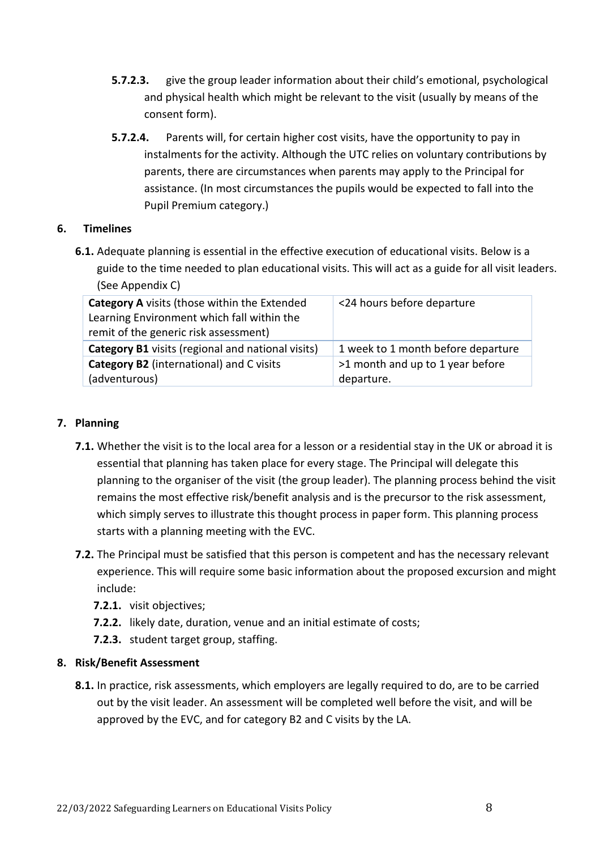- **5.7.2.3.** give the group leader information about their child's emotional, psychological and physical health which might be relevant to the visit (usually by means of the consent form).
- **5.7.2.4.** Parents will, for certain higher cost visits, have the opportunity to pay in instalments for the activity. Although the UTC relies on voluntary contributions by parents, there are circumstances when parents may apply to the Principal for assistance. (In most circumstances the pupils would be expected to fall into the Pupil Premium category.)

## **6. Timelines**

**6.1.** Adequate planning is essential in the effective execution of educational visits. Below is a guide to the time needed to plan educational visits. This will act as a guide for all visit leaders. (See Appendix C)

| <b>Category A</b> visits (those within the Extended<br>Learning Environment which fall within the<br>remit of the generic risk assessment) | <24 hours before departure                     |
|--------------------------------------------------------------------------------------------------------------------------------------------|------------------------------------------------|
| <b>Category B1</b> visits (regional and national visits)                                                                                   | 1 week to 1 month before departure             |
| <b>Category B2</b> (international) and C visits<br>(adventurous)                                                                           | >1 month and up to 1 year before<br>departure. |

## **7. Planning**

- **7.1.** Whether the visit is to the local area for a lesson or a residential stay in the UK or abroad it is essential that planning has taken place for every stage. The Principal will delegate this planning to the organiser of the visit (the group leader). The planning process behind the visit remains the most effective risk/benefit analysis and is the precursor to the risk assessment, which simply serves to illustrate this thought process in paper form. This planning process starts with a planning meeting with the EVC.
- **7.2.** The Principal must be satisfied that this person is competent and has the necessary relevant experience. This will require some basic information about the proposed excursion and might include:
	- **7.2.1.** visit objectives;
	- **7.2.2.** likely date, duration, venue and an initial estimate of costs;
	- **7.2.3.** student target group, staffing.

# **8. Risk/Benefit Assessment**

**8.1.** In practice, risk assessments, which employers are legally required to do, are to be carried out by the visit leader. An assessment will be completed well before the visit, and will be approved by the EVC, and for category B2 and C visits by the LA.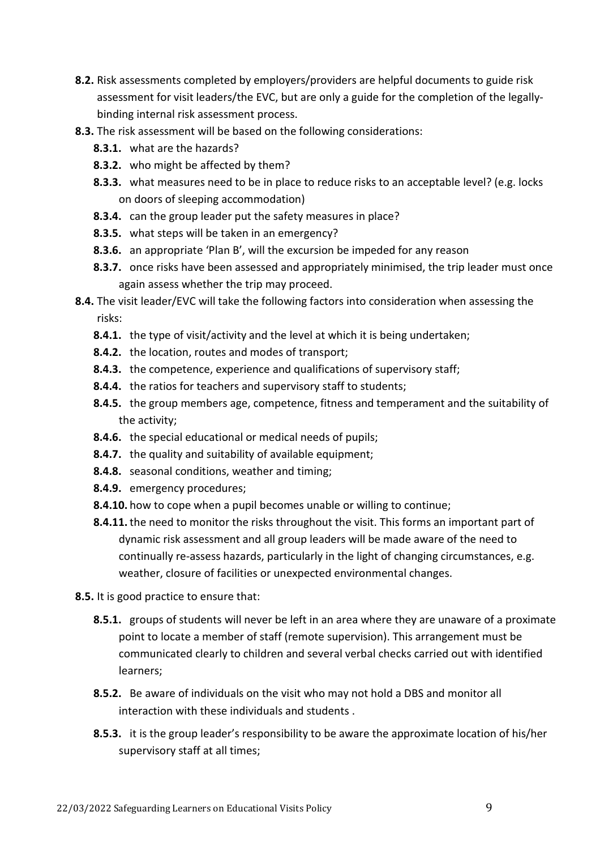- **8.2.** Risk assessments completed by employers/providers are helpful documents to guide risk assessment for visit leaders/the EVC, but are only a guide for the completion of the legallybinding internal risk assessment process.
- **8.3.** The risk assessment will be based on the following considerations:
	- **8.3.1.** what are the hazards?
	- **8.3.2.** who might be affected by them?
	- **8.3.3.** what measures need to be in place to reduce risks to an acceptable level? (e.g. locks on doors of sleeping accommodation)
	- **8.3.4.** can the group leader put the safety measures in place?
	- **8.3.5.** what steps will be taken in an emergency?
	- **8.3.6.** an appropriate 'Plan B', will the excursion be impeded for any reason
	- **8.3.7.** once risks have been assessed and appropriately minimised, the trip leader must once again assess whether the trip may proceed.
- **8.4.** The visit leader/EVC will take the following factors into consideration when assessing the risks:
	- **8.4.1.** the type of visit/activity and the level at which it is being undertaken;
	- **8.4.2.** the location, routes and modes of transport;
	- **8.4.3.** the competence, experience and qualifications of supervisory staff;
	- **8.4.4.** the ratios for teachers and supervisory staff to students;
	- **8.4.5.** the group members age, competence, fitness and temperament and the suitability of the activity;
	- **8.4.6.** the special educational or medical needs of pupils;
	- **8.4.7.** the quality and suitability of available equipment;
	- **8.4.8.** seasonal conditions, weather and timing;
	- **8.4.9.** emergency procedures;
	- **8.4.10.** how to cope when a pupil becomes unable or willing to continue;
	- **8.4.11.**the need to monitor the risks throughout the visit. This forms an important part of dynamic risk assessment and all group leaders will be made aware of the need to continually re-assess hazards, particularly in the light of changing circumstances, e.g. weather, closure of facilities or unexpected environmental changes.

**8.5.** It is good practice to ensure that:

- **8.5.1.** groups of students will never be left in an area where they are unaware of a proximate point to locate a member of staff (remote supervision). This arrangement must be communicated clearly to children and several verbal checks carried out with identified learners;
- **8.5.2.** Be aware of individuals on the visit who may not hold a DBS and monitor all interaction with these individuals and students .
- **8.5.3.** it is the group leader's responsibility to be aware the approximate location of his/her supervisory staff at all times;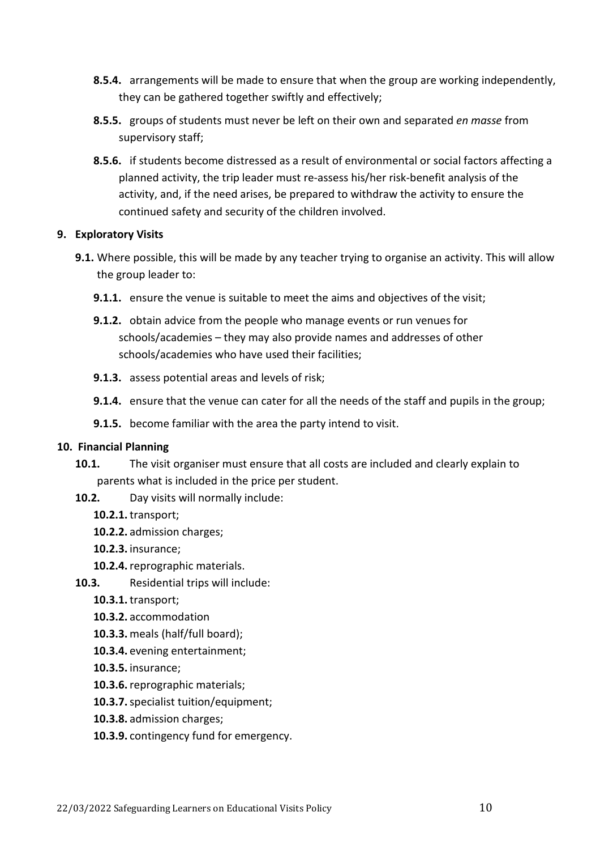- **8.5.4.** arrangements will be made to ensure that when the group are working independently, they can be gathered together swiftly and effectively;
- **8.5.5.** groups of students must never be left on their own and separated *en masse* from supervisory staff;
- **8.5.6.** if students become distressed as a result of environmental or social factors affecting a planned activity, the trip leader must re-assess his/her risk-benefit analysis of the activity, and, if the need arises, be prepared to withdraw the activity to ensure the continued safety and security of the children involved.

## **9. Exploratory Visits**

- **9.1.** Where possible, this will be made by any teacher trying to organise an activity. This will allow the group leader to:
	- **9.1.1.** ensure the venue is suitable to meet the aims and objectives of the visit:
	- **9.1.2.** obtain advice from the people who manage events or run venues for schools/academies – they may also provide names and addresses of other schools/academies who have used their facilities;
	- **9.1.3.** assess potential areas and levels of risk;
	- **9.1.4.** ensure that the venue can cater for all the needs of the staff and pupils in the group;
	- **9.1.5.** become familiar with the area the party intend to visit.

# **10. Financial Planning**

- **10.1.** The visit organiser must ensure that all costs are included and clearly explain to parents what is included in the price per student.
- **10.2.** Day visits will normally include:
	- **10.2.1.**transport;
	- **10.2.2.** admission charges;
	- **10.2.3.** insurance;
	- **10.2.4.**reprographic materials.
- **10.3.** Residential trips will include:
	- **10.3.1.**transport;
	- **10.3.2.** accommodation
	- **10.3.3.** meals (half/full board);
	- **10.3.4.** evening entertainment;
	- **10.3.5.** insurance;
	- **10.3.6.**reprographic materials;
	- **10.3.7.**specialist tuition/equipment;
	- **10.3.8.** admission charges;
	- **10.3.9.** contingency fund for emergency.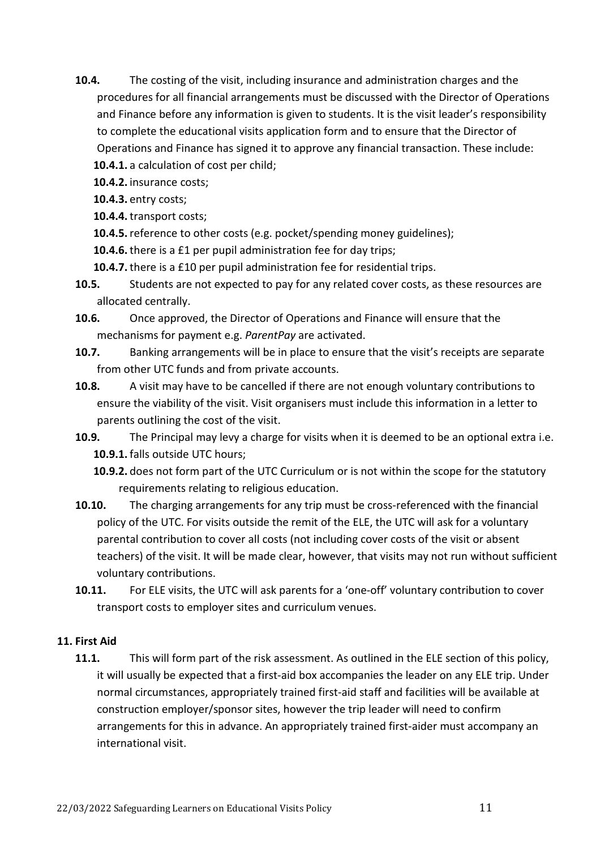**10.4.** The costing of the visit, including insurance and administration charges and the procedures for all financial arrangements must be discussed with the Director of Operations and Finance before any information is given to students. It is the visit leader's responsibility to complete the educational visits application form and to ensure that the Director of Operations and Finance has signed it to approve any financial transaction. These include:

**10.4.1.** a calculation of cost per child;

**10.4.2.** insurance costs;

**10.4.3.** entry costs;

**10.4.4.**transport costs;

**10.4.5.**reference to other costs (e.g. pocket/spending money guidelines);

**10.4.6.**there is a £1 per pupil administration fee for day trips;

**10.4.7.**there is a £10 per pupil administration fee for residential trips.

- **10.5.** Students are not expected to pay for any related cover costs, as these resources are allocated centrally.
- **10.6.** Once approved, the Director of Operations and Finance will ensure that the mechanisms for payment e.g. *ParentPay* are activated.
- **10.7.** Banking arrangements will be in place to ensure that the visit's receipts are separate from other UTC funds and from private accounts.
- **10.8.** A visit may have to be cancelled if there are not enough voluntary contributions to ensure the viability of the visit. Visit organisers must include this information in a letter to parents outlining the cost of the visit.
- **10.9.** The Principal may levy a charge for visits when it is deemed to be an optional extra i.e. **10.9.1.** falls outside UTC hours;

**10.9.2.** does not form part of the UTC Curriculum or is not within the scope for the statutory requirements relating to religious education.

- **10.10.** The charging arrangements for any trip must be cross-referenced with the financial policy of the UTC. For visits outside the remit of the ELE, the UTC will ask for a voluntary parental contribution to cover all costs (not including cover costs of the visit or absent teachers) of the visit. It will be made clear, however, that visits may not run without sufficient voluntary contributions.
- **10.11.** For ELE visits, the UTC will ask parents for a 'one-off' voluntary contribution to cover transport costs to employer sites and curriculum venues.

# **11. First Aid**

**11.1.** This will form part of the risk assessment. As outlined in the ELE section of this policy, it will usually be expected that a first-aid box accompanies the leader on any ELE trip. Under normal circumstances, appropriately trained first-aid staff and facilities will be available at construction employer/sponsor sites, however the trip leader will need to confirm arrangements for this in advance. An appropriately trained first-aider must accompany an international visit.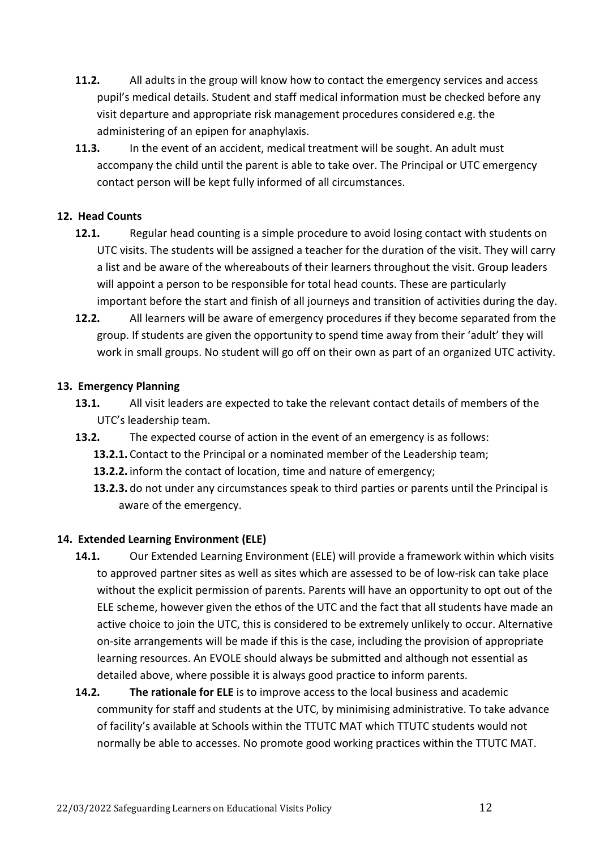- **11.2.** All adults in the group will know how to contact the emergency services and access pupil's medical details. Student and staff medical information must be checked before any visit departure and appropriate risk management procedures considered e.g. the administering of an epipen for anaphylaxis.
- **11.3.** In the event of an accident, medical treatment will be sought. An adult must accompany the child until the parent is able to take over. The Principal or UTC emergency contact person will be kept fully informed of all circumstances.

# **12. Head Counts**

- **12.1.** Regular head counting is a simple procedure to avoid losing contact with students on UTC visits. The students will be assigned a teacher for the duration of the visit. They will carry a list and be aware of the whereabouts of their learners throughout the visit. Group leaders will appoint a person to be responsible for total head counts. These are particularly important before the start and finish of all journeys and transition of activities during the day.
- **12.2.** All learners will be aware of emergency procedures if they become separated from the group. If students are given the opportunity to spend time away from their 'adult' they will work in small groups. No student will go off on their own as part of an organized UTC activity.

# **13. Emergency Planning**

- **13.1.** All visit leaders are expected to take the relevant contact details of members of the UTC's leadership team.
- **13.2.** The expected course of action in the event of an emergency is as follows:
	- **13.2.1.** Contact to the Principal or a nominated member of the Leadership team;
	- **13.2.2.** inform the contact of location, time and nature of emergency;
	- **13.2.3.** do not under any circumstances speak to third parties or parents until the Principal is aware of the emergency.

# **14. Extended Learning Environment (ELE)**

- **14.1.** Our Extended Learning Environment (ELE) will provide a framework within which visits to approved partner sites as well as sites which are assessed to be of low-risk can take place without the explicit permission of parents. Parents will have an opportunity to opt out of the ELE scheme, however given the ethos of the UTC and the fact that all students have made an active choice to join the UTC, this is considered to be extremely unlikely to occur. Alternative on-site arrangements will be made if this is the case, including the provision of appropriate learning resources. An EVOLE should always be submitted and although not essential as detailed above, where possible it is always good practice to inform parents.
- **14.2. The rationale for ELE** is to improve access to the local business and academic community for staff and students at the UTC, by minimising administrative. To take advance of facility's available at Schools within the TTUTC MAT which TTUTC students would not normally be able to accesses. No promote good working practices within the TTUTC MAT.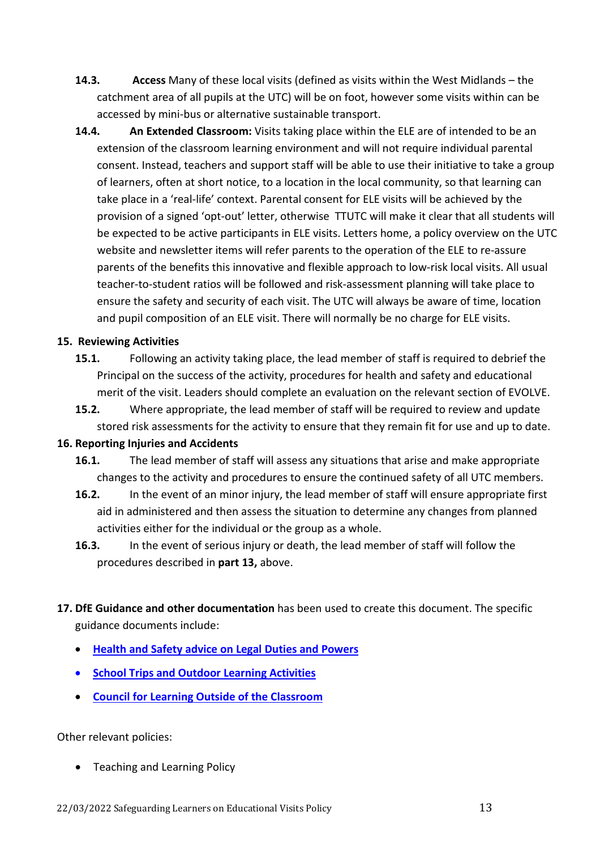- **14.3. Access** Many of these local visits (defined as visits within the West Midlands the catchment area of all pupils at the UTC) will be on foot, however some visits within can be accessed by mini-bus or alternative sustainable transport.
- **14.4. An Extended Classroom:** Visits taking place within the ELE are of intended to be an extension of the classroom learning environment and will not require individual parental consent. Instead, teachers and support staff will be able to use their initiative to take a group of learners, often at short notice, to a location in the local community, so that learning can take place in a 'real-life' context. Parental consent for ELE visits will be achieved by the provision of a signed 'opt-out' letter, otherwise TTUTC will make it clear that all students will be expected to be active participants in ELE visits. Letters home, a policy overview on the UTC website and newsletter items will refer parents to the operation of the ELE to re-assure parents of the benefits this innovative and flexible approach to low-risk local visits. All usual teacher-to-student ratios will be followed and risk-assessment planning will take place to ensure the safety and security of each visit. The UTC will always be aware of time, location and pupil composition of an ELE visit. There will normally be no charge for ELE visits.

#### **15. Reviewing Activities**

- **15.1.** Following an activity taking place, the lead member of staff is required to debrief the Principal on the success of the activity, procedures for health and safety and educational merit of the visit. Leaders should complete an evaluation on the relevant section of EVOLVE.
- **15.2.** Where appropriate, the lead member of staff will be required to review and update stored risk assessments for the activity to ensure that they remain fit for use and up to date.

#### **16. Reporting Injuries and Accidents**

- **16.1.** The lead member of staff will assess any situations that arise and make appropriate changes to the activity and procedures to ensure the continued safety of all UTC members.
- **16.2.** In the event of an minor injury, the lead member of staff will ensure appropriate first aid in administered and then assess the situation to determine any changes from planned activities either for the individual or the group as a whole.
- **16.3.** In the event of serious injury or death, the lead member of staff will follow the procedures described in **part 13,** above.
- **17. DfE Guidance and other documentation** has been used to create this document. The specific guidance documents include:
	- **[Health and Safety advice on Legal Duties and Powers](https://www.gov.uk/government/uploads/system/uploads/attachment_data/file/335111/DfE_Health_and_Safety_Advice_06_02_14.pdf)**
	- **[School Trips and Outdoor Learning Activities](http://www.hse.gov.uk/services/education/school-trips.pdf)**
	- **[Council for Learning Outside of the Classroom](http://www.lotc.org.uk/)**

Other relevant policies:

• Teaching and Learning Policy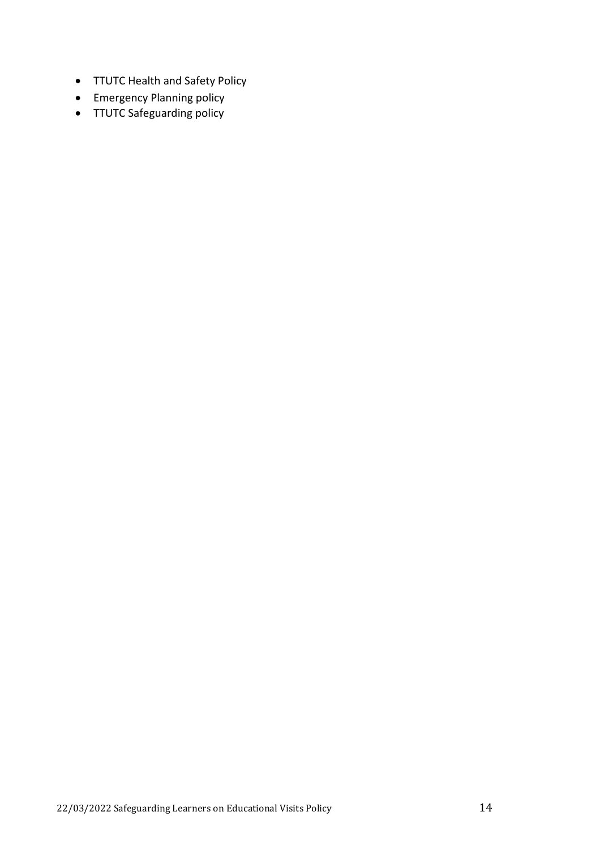- TTUTC Health and Safety Policy
- Emergency Planning policy
- TTUTC Safeguarding policy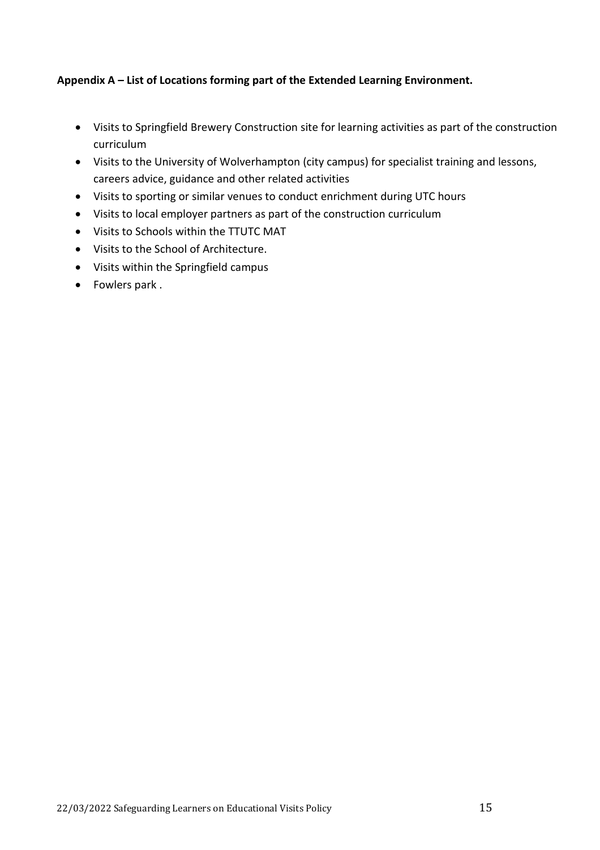# **Appendix A – List of Locations forming part of the Extended Learning Environment.**

- Visits to Springfield Brewery Construction site for learning activities as part of the construction curriculum
- Visits to the University of Wolverhampton (city campus) for specialist training and lessons, careers advice, guidance and other related activities
- Visits to sporting or similar venues to conduct enrichment during UTC hours
- Visits to local employer partners as part of the construction curriculum
- Visits to Schools within the TTUTC MAT
- Visits to the School of Architecture.
- Visits within the Springfield campus
- Fowlers park .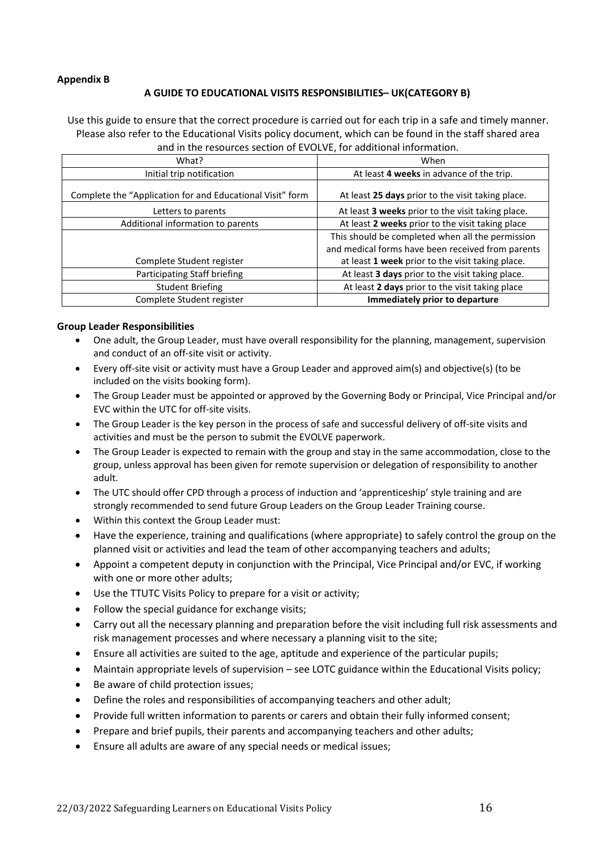#### **Appendix B**

#### **A GUIDE TO EDUCATIONAL VISITS RESPONSIBILITIES– UK(CATEGORY B)**

Use this guide to ensure that the correct procedure is carried out for each trip in a safe and timely manner. Please also refer to the Educational Visits policy document, which can be found in the staff shared area and in the resources section of EVOLVE, for additional information.

| What?                                                     | When                                              |
|-----------------------------------------------------------|---------------------------------------------------|
| Initial trip notification                                 | At least 4 weeks in advance of the trip.          |
| Complete the "Application for and Educational Visit" form | At least 25 days prior to the visit taking place. |
| Letters to parents                                        | At least 3 weeks prior to the visit taking place. |
| Additional information to parents                         | At least 2 weeks prior to the visit taking place  |
|                                                           | This should be completed when all the permission  |
|                                                           | and medical forms have been received from parents |
| Complete Student register                                 | at least 1 week prior to the visit taking place.  |
| Participating Staff briefing                              | At least 3 days prior to the visit taking place.  |
| <b>Student Briefing</b>                                   | At least 2 days prior to the visit taking place   |
| Complete Student register                                 | Immediately prior to departure                    |

#### **Group Leader Responsibilities**

- One adult, the Group Leader, must have overall responsibility for the planning, management, supervision and conduct of an off-site visit or activity.
- Every off-site visit or activity must have a Group Leader and approved aim(s) and objective(s) (to be included on the visits booking form).
- The Group Leader must be appointed or approved by the Governing Body or Principal, Vice Principal and/or EVC within the UTC for off-site visits.
- The Group Leader is the key person in the process of safe and successful delivery of off-site visits and activities and must be the person to submit the EVOLVE paperwork.
- The Group Leader is expected to remain with the group and stay in the same accommodation, close to the group, unless approval has been given for remote supervision or delegation of responsibility to another adult.
- The UTC should offer CPD through a process of induction and 'apprenticeship' style training and are strongly recommended to send future Group Leaders on the Group Leader Training course.
- Within this context the Group Leader must:
- Have the experience, training and qualifications (where appropriate) to safely control the group on the planned visit or activities and lead the team of other accompanying teachers and adults;
- Appoint a competent deputy in conjunction with the Principal, Vice Principal and/or EVC, if working with one or more other adults;
- Use the TTUTC Visits Policy to prepare for a visit or activity;
- Follow the special guidance for exchange visits;
- Carry out all the necessary planning and preparation before the visit including full risk assessments and risk management processes and where necessary a planning visit to the site;
- Ensure all activities are suited to the age, aptitude and experience of the particular pupils;
- Maintain appropriate levels of supervision see LOTC guidance within the Educational Visits policy;
- Be aware of child protection issues;
- Define the roles and responsibilities of accompanying teachers and other adult;
- Provide full written information to parents or carers and obtain their fully informed consent;
- Prepare and brief pupils, their parents and accompanying teachers and other adults;
- Ensure all adults are aware of any special needs or medical issues;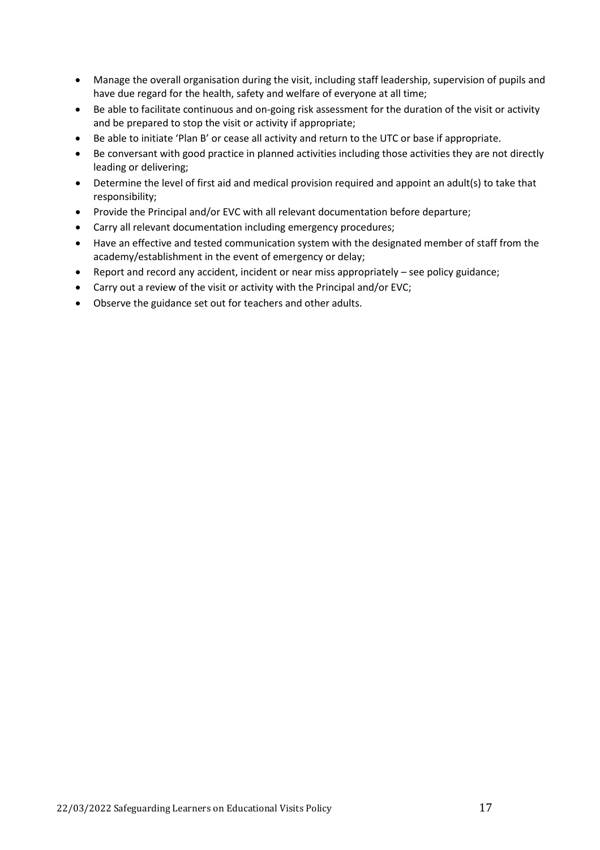- Manage the overall organisation during the visit, including staff leadership, supervision of pupils and have due regard for the health, safety and welfare of everyone at all time;
- Be able to facilitate continuous and on-going risk assessment for the duration of the visit or activity and be prepared to stop the visit or activity if appropriate;
- Be able to initiate 'Plan B' or cease all activity and return to the UTC or base if appropriate.
- Be conversant with good practice in planned activities including those activities they are not directly leading or delivering;
- Determine the level of first aid and medical provision required and appoint an adult(s) to take that responsibility;
- Provide the Principal and/or EVC with all relevant documentation before departure;
- Carry all relevant documentation including emergency procedures;
- Have an effective and tested communication system with the designated member of staff from the academy/establishment in the event of emergency or delay;
- Report and record any accident, incident or near miss appropriately see policy guidance;
- Carry out a review of the visit or activity with the Principal and/or EVC;
- Observe the guidance set out for teachers and other adults.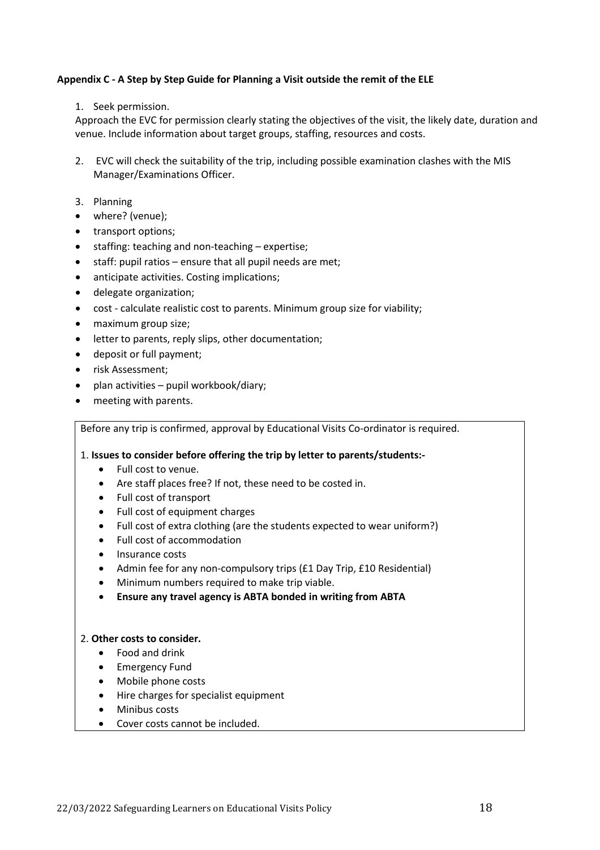#### **Appendix C - A Step by Step Guide for Planning a Visit outside the remit of the ELE**

1. Seek permission.

Approach the EVC for permission clearly stating the objectives of the visit, the likely date, duration and venue. Include information about target groups, staffing, resources and costs.

- 2. EVC will check the suitability of the trip, including possible examination clashes with the MIS Manager/Examinations Officer.
- 3. Planning
- where? (venue);
- transport options;
- staffing: teaching and non-teaching expertise;
- staff: pupil ratios ensure that all pupil needs are met;
- anticipate activities. Costing implications;
- delegate organization;
- cost calculate realistic cost to parents. Minimum group size for viability;
- maximum group size;
- letter to parents, reply slips, other documentation;
- deposit or full payment;
- risk Assessment;
- plan activities pupil workbook/diary;
- meeting with parents.

Before any trip is confirmed, approval by Educational Visits Co-ordinator is required.

#### 1. **Issues to consider before offering the trip by letter to parents/students:-**

- Full cost to venue.
- Are staff places free? If not, these need to be costed in.
- Full cost of transport
- Full cost of equipment charges
- Full cost of extra clothing (are the students expected to wear uniform?)
- Full cost of accommodation
- Insurance costs
- Admin fee for any non-compulsory trips (£1 Day Trip, £10 Residential)
- Minimum numbers required to make trip viable.
- **Ensure any travel agency is ABTA bonded in writing from ABTA**

#### 2. **Other costs to consider.**

- Food and drink
- Emergency Fund
- Mobile phone costs
- Hire charges for specialist equipment
- Minibus costs
- Cover costs cannot be included.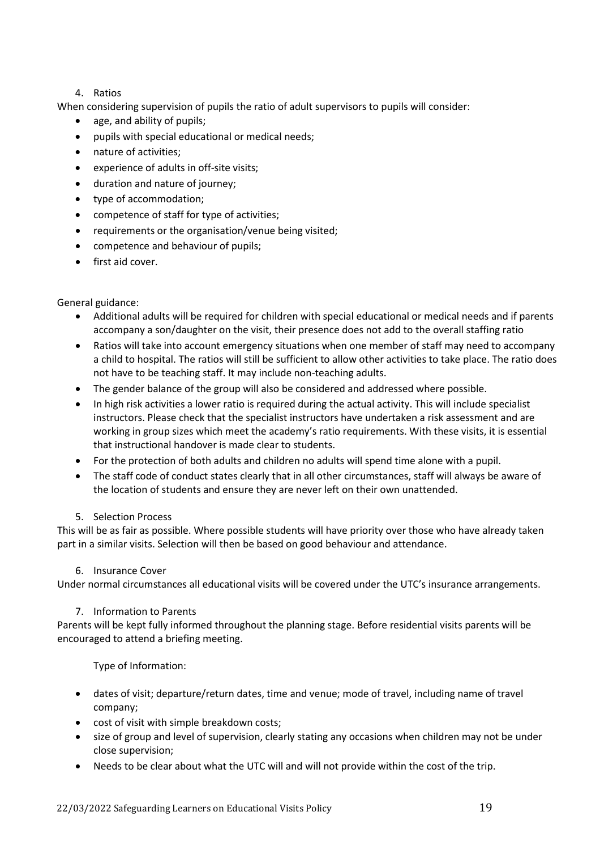#### 4. Ratios

When considering supervision of pupils the ratio of adult supervisors to pupils will consider:

- age, and ability of pupils;
- pupils with special educational or medical needs;
- nature of activities;
- experience of adults in off-site visits;
- duration and nature of journey;
- type of accommodation;
- competence of staff for type of activities;
- requirements or the organisation/venue being visited;
- competence and behaviour of pupils;
- first aid cover.

#### General guidance:

- Additional adults will be required for children with special educational or medical needs and if parents accompany a son/daughter on the visit, their presence does not add to the overall staffing ratio
- Ratios will take into account emergency situations when one member of staff may need to accompany a child to hospital. The ratios will still be sufficient to allow other activities to take place. The ratio does not have to be teaching staff. It may include non-teaching adults.
- The gender balance of the group will also be considered and addressed where possible.
- In high risk activities a lower ratio is required during the actual activity. This will include specialist instructors. Please check that the specialist instructors have undertaken a risk assessment and are working in group sizes which meet the academy's ratio requirements. With these visits, it is essential that instructional handover is made clear to students.
- For the protection of both adults and children no adults will spend time alone with a pupil.
- The staff code of conduct states clearly that in all other circumstances, staff will always be aware of the location of students and ensure they are never left on their own unattended.

#### 5. Selection Process

This will be as fair as possible. Where possible students will have priority over those who have already taken part in a similar visits. Selection will then be based on good behaviour and attendance.

#### 6. Insurance Cover

Under normal circumstances all educational visits will be covered under the UTC's insurance arrangements.

#### 7. Information to Parents

Parents will be kept fully informed throughout the planning stage. Before residential visits parents will be encouraged to attend a briefing meeting.

Type of Information:

- dates of visit; departure/return dates, time and venue; mode of travel, including name of travel company;
- cost of visit with simple breakdown costs;
- size of group and level of supervision, clearly stating any occasions when children may not be under close supervision;
- Needs to be clear about what the UTC will and will not provide within the cost of the trip.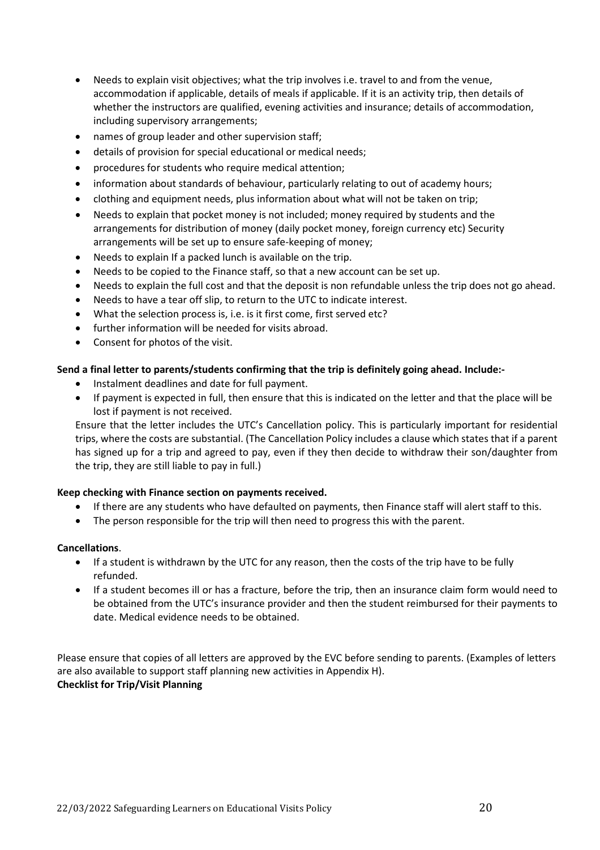- Needs to explain visit objectives; what the trip involves i.e. travel to and from the venue, accommodation if applicable, details of meals if applicable. If it is an activity trip, then details of whether the instructors are qualified, evening activities and insurance; details of accommodation, including supervisory arrangements;
- names of group leader and other supervision staff;
- details of provision for special educational or medical needs;
- procedures for students who require medical attention;
- information about standards of behaviour, particularly relating to out of academy hours;
- clothing and equipment needs, plus information about what will not be taken on trip;
- Needs to explain that pocket money is not included; money required by students and the arrangements for distribution of money (daily pocket money, foreign currency etc) Security arrangements will be set up to ensure safe-keeping of money;
- Needs to explain If a packed lunch is available on the trip.
- Needs to be copied to the Finance staff, so that a new account can be set up.
- Needs to explain the full cost and that the deposit is non refundable unless the trip does not go ahead.
- Needs to have a tear off slip, to return to the UTC to indicate interest.
- What the selection process is, i.e. is it first come, first served etc?
- further information will be needed for visits abroad.
- Consent for photos of the visit.

#### **Send a final letter to parents/students confirming that the trip is definitely going ahead. Include:-**

- Instalment deadlines and date for full payment.
- If payment is expected in full, then ensure that this is indicated on the letter and that the place will be lost if payment is not received.

Ensure that the letter includes the UTC's Cancellation policy. This is particularly important for residential trips, where the costs are substantial. (The Cancellation Policy includes a clause which states that if a parent has signed up for a trip and agreed to pay, even if they then decide to withdraw their son/daughter from the trip, they are still liable to pay in full.)

#### **Keep checking with Finance section on payments received.**

- If there are any students who have defaulted on payments, then Finance staff will alert staff to this.
- The person responsible for the trip will then need to progress this with the parent.

#### **Cancellations**.

- If a student is withdrawn by the UTC for any reason, then the costs of the trip have to be fully refunded.
- If a student becomes ill or has a fracture, before the trip, then an insurance claim form would need to be obtained from the UTC's insurance provider and then the student reimbursed for their payments to date. Medical evidence needs to be obtained.

Please ensure that copies of all letters are approved by the EVC before sending to parents. (Examples of letters are also available to support staff planning new activities in Appendix H). **Checklist for Trip/Visit Planning**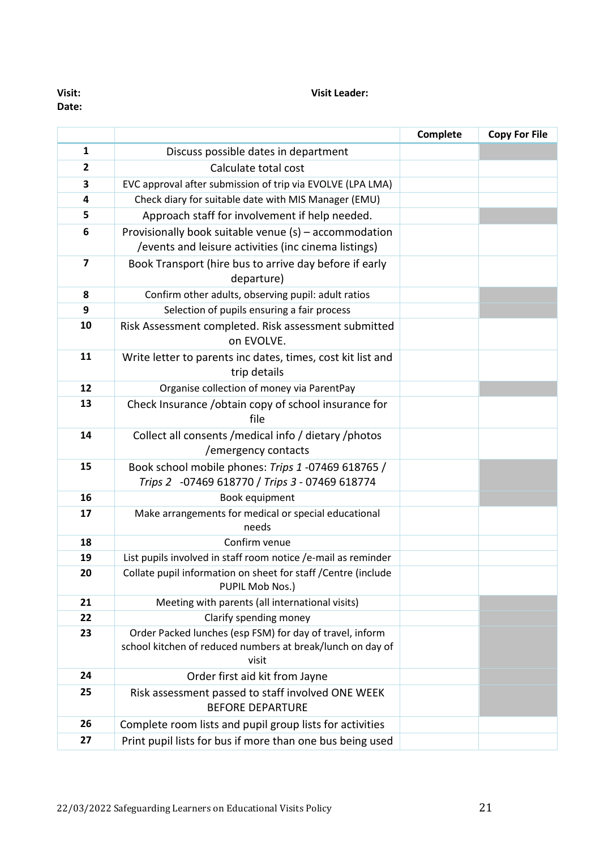**Date:**

**Visit: Visit Leader:**

|                         |                                                                                                                                 | Complete | <b>Copy For File</b> |
|-------------------------|---------------------------------------------------------------------------------------------------------------------------------|----------|----------------------|
| $\mathbf{1}$            | Discuss possible dates in department                                                                                            |          |                      |
| 2                       | Calculate total cost                                                                                                            |          |                      |
| 3                       | EVC approval after submission of trip via EVOLVE (LPA LMA)                                                                      |          |                      |
| 4                       | Check diary for suitable date with MIS Manager (EMU)                                                                            |          |                      |
| 5                       | Approach staff for involvement if help needed.                                                                                  |          |                      |
| 6                       | Provisionally book suitable venue (s) - accommodation<br>/events and leisure activities (inc cinema listings)                   |          |                      |
| $\overline{\mathbf{z}}$ | Book Transport (hire bus to arrive day before if early<br>departure)                                                            |          |                      |
| 8                       | Confirm other adults, observing pupil: adult ratios                                                                             |          |                      |
| 9                       | Selection of pupils ensuring a fair process                                                                                     |          |                      |
| 10                      | Risk Assessment completed. Risk assessment submitted<br>on EVOLVE.                                                              |          |                      |
| 11                      | Write letter to parents inc dates, times, cost kit list and<br>trip details                                                     |          |                      |
| 12                      | Organise collection of money via ParentPay                                                                                      |          |                      |
| 13                      | Check Insurance / obtain copy of school insurance for<br>file                                                                   |          |                      |
| 14                      | Collect all consents / medical info / dietary / photos<br>/emergency contacts                                                   |          |                      |
| 15                      | Book school mobile phones: Trips 1 -07469 618765 /<br>Trips 2 -07469 618770 / Trips 3 - 07469 618774                            |          |                      |
| 16                      | Book equipment                                                                                                                  |          |                      |
| 17                      | Make arrangements for medical or special educational<br>needs                                                                   |          |                      |
| 18                      | Confirm venue                                                                                                                   |          |                      |
| 19                      | List pupils involved in staff room notice /e-mail as reminder                                                                   |          |                      |
| 20                      | Collate pupil information on sheet for staff / Centre (include<br>PUPIL Mob Nos.)                                               |          |                      |
| 21                      | Meeting with parents (all international visits)                                                                                 |          |                      |
| 22                      | Clarify spending money                                                                                                          |          |                      |
| 23                      | Order Packed lunches (esp FSM) for day of travel, inform<br>school kitchen of reduced numbers at break/lunch on day of<br>visit |          |                      |
| 24                      | Order first aid kit from Jayne                                                                                                  |          |                      |
| 25                      | Risk assessment passed to staff involved ONE WEEK<br><b>BEFORE DEPARTURE</b>                                                    |          |                      |
| 26                      | Complete room lists and pupil group lists for activities                                                                        |          |                      |
| 27                      | Print pupil lists for bus if more than one bus being used                                                                       |          |                      |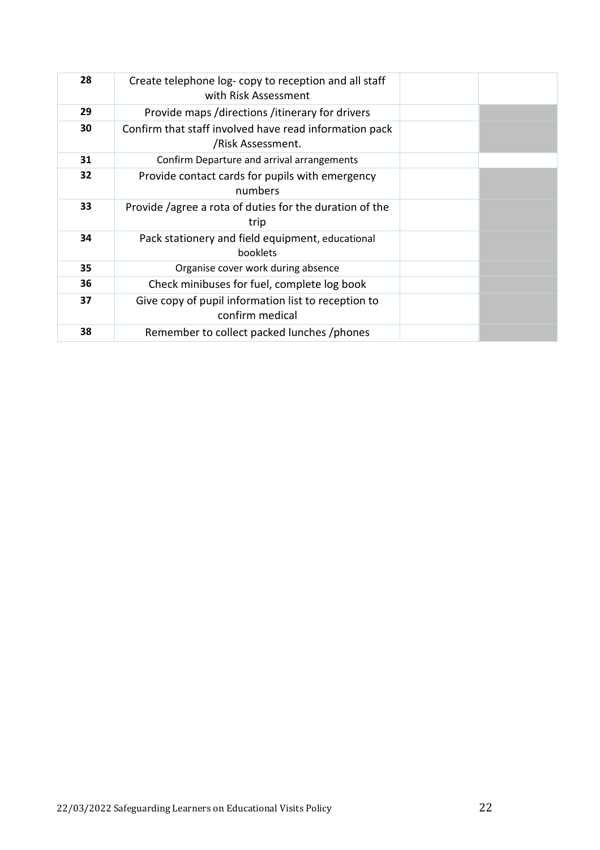| 28 | Create telephone log-copy to reception and all staff<br>with Risk Assessment |  |
|----|------------------------------------------------------------------------------|--|
| 29 | Provide maps / directions / itinerary for drivers                            |  |
| 30 | Confirm that staff involved have read information pack<br>/Risk Assessment.  |  |
| 31 | Confirm Departure and arrival arrangements                                   |  |
| 32 | Provide contact cards for pupils with emergency<br>numbers                   |  |
| 33 | Provide /agree a rota of duties for the duration of the<br>trip              |  |
| 34 | Pack stationery and field equipment, educational<br>booklets                 |  |
| 35 | Organise cover work during absence                                           |  |
| 36 | Check minibuses for fuel, complete log book                                  |  |
| 37 | Give copy of pupil information list to reception to<br>confirm medical       |  |
| 38 | Remember to collect packed lunches /phones                                   |  |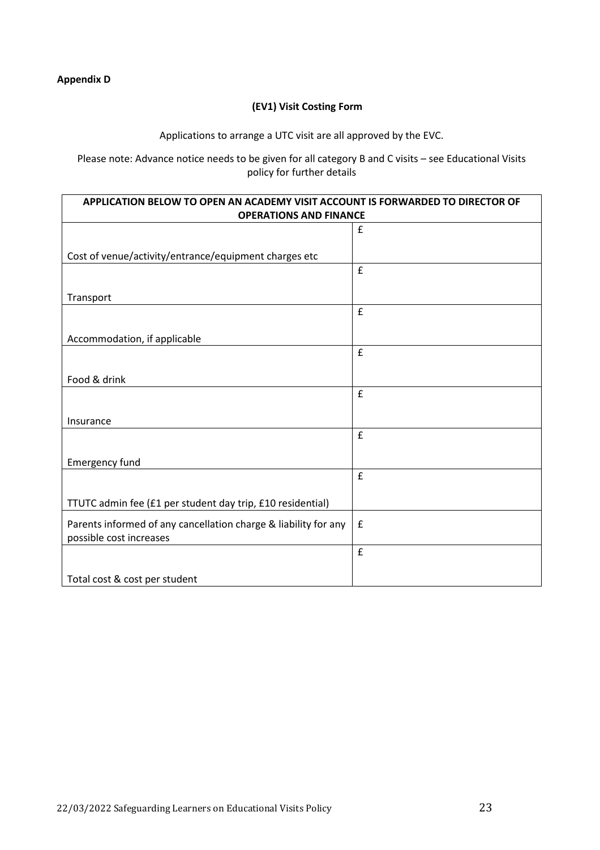#### **(EV1) Visit Costing Form**

Applications to arrange a UTC visit are all approved by the EVC.

Please note: Advance notice needs to be given for all category B and C visits – see Educational Visits policy for further details

| APPLICATION BELOW TO OPEN AN ACADEMY VISIT ACCOUNT IS FORWARDED TO DIRECTOR OF<br><b>OPERATIONS AND FINANCE</b> |                    |  |  |  |
|-----------------------------------------------------------------------------------------------------------------|--------------------|--|--|--|
| $\pmb{\mathsf{f}}$                                                                                              |                    |  |  |  |
|                                                                                                                 |                    |  |  |  |
| Cost of venue/activity/entrance/equipment charges etc                                                           |                    |  |  |  |
|                                                                                                                 | £                  |  |  |  |
| Transport                                                                                                       |                    |  |  |  |
|                                                                                                                 | £                  |  |  |  |
| Accommodation, if applicable                                                                                    |                    |  |  |  |
|                                                                                                                 | $\pmb{\mathtt{f}}$ |  |  |  |
| Food & drink                                                                                                    |                    |  |  |  |
|                                                                                                                 | £                  |  |  |  |
| Insurance                                                                                                       |                    |  |  |  |
|                                                                                                                 | £                  |  |  |  |
| Emergency fund                                                                                                  |                    |  |  |  |
|                                                                                                                 | £                  |  |  |  |
| TTUTC admin fee (£1 per student day trip, £10 residential)                                                      |                    |  |  |  |
| Parents informed of any cancellation charge & liability for any<br>possible cost increases                      | $\pmb{\mathsf{f}}$ |  |  |  |
|                                                                                                                 | £                  |  |  |  |
| Total cost & cost per student                                                                                   |                    |  |  |  |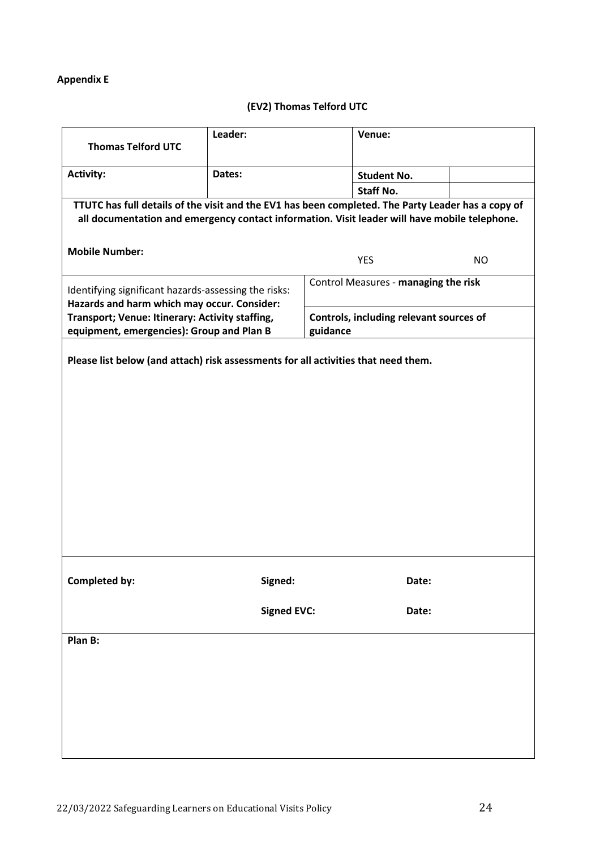# **Appendix E**

# **(EV2) Thomas Telford UTC**

| <b>Thomas Telford UTC</b>                                                                                                                                                                           | Leader:            |          | Venue:                                  |           |
|-----------------------------------------------------------------------------------------------------------------------------------------------------------------------------------------------------|--------------------|----------|-----------------------------------------|-----------|
| <b>Activity:</b>                                                                                                                                                                                    | Dates:             |          | <b>Student No.</b>                      |           |
|                                                                                                                                                                                                     |                    |          | <b>Staff No.</b>                        |           |
| TTUTC has full details of the visit and the EV1 has been completed. The Party Leader has a copy of<br>all documentation and emergency contact information. Visit leader will have mobile telephone. |                    |          |                                         |           |
| <b>Mobile Number:</b>                                                                                                                                                                               |                    |          | <b>YES</b>                              | <b>NO</b> |
| Identifying significant hazards-assessing the risks:<br>Hazards and harm which may occur. Consider:                                                                                                 |                    |          | Control Measures - managing the risk    |           |
| Transport; Venue: Itinerary: Activity staffing,<br>equipment, emergencies): Group and Plan B                                                                                                        |                    | guidance | Controls, including relevant sources of |           |
| Please list below (and attach) risk assessments for all activities that need them.                                                                                                                  |                    |          |                                         |           |
| Completed by:                                                                                                                                                                                       | Signed:            |          | Date:                                   |           |
|                                                                                                                                                                                                     | <b>Signed EVC:</b> |          | Date:                                   |           |
| Plan B:                                                                                                                                                                                             |                    |          |                                         |           |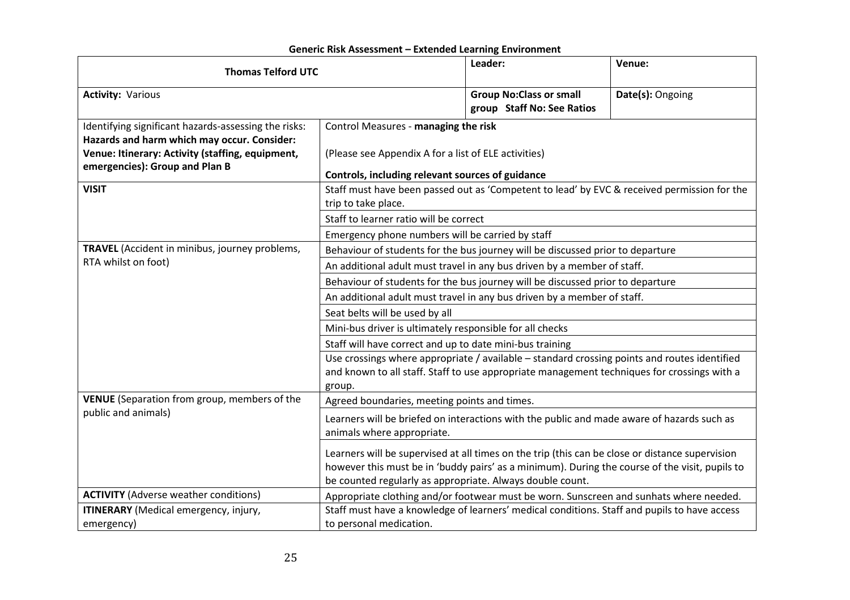| <b>Thomas Telford UTC</b>                                                                                                                                                                 |                                                                                                                                                                                                                                                                   | Leader:                                                                                | Venue:           |  |  |
|-------------------------------------------------------------------------------------------------------------------------------------------------------------------------------------------|-------------------------------------------------------------------------------------------------------------------------------------------------------------------------------------------------------------------------------------------------------------------|----------------------------------------------------------------------------------------|------------------|--|--|
| <b>Activity: Various</b>                                                                                                                                                                  |                                                                                                                                                                                                                                                                   | <b>Group No: Class or small</b><br>group Staff No: See Ratios                          | Date(s): Ongoing |  |  |
| Identifying significant hazards-assessing the risks:<br>Hazards and harm which may occur. Consider:<br>Venue: Itinerary: Activity (staffing, equipment,<br>emergencies): Group and Plan B | Control Measures - managing the risk<br>(Please see Appendix A for a list of ELE activities)<br>Controls, including relevant sources of guidance                                                                                                                  |                                                                                        |                  |  |  |
| <b>VISIT</b>                                                                                                                                                                              | Staff must have been passed out as 'Competent to lead' by EVC & received permission for the<br>trip to take place.<br>Staff to learner ratio will be correct                                                                                                      |                                                                                        |                  |  |  |
| TRAVEL (Accident in minibus, journey problems,<br>RTA whilst on foot)                                                                                                                     | Emergency phone numbers will be carried by staff<br>Behaviour of students for the bus journey will be discussed prior to departure                                                                                                                                |                                                                                        |                  |  |  |
|                                                                                                                                                                                           | An additional adult must travel in any bus driven by a member of staff.<br>Behaviour of students for the bus journey will be discussed prior to departure                                                                                                         |                                                                                        |                  |  |  |
|                                                                                                                                                                                           | An additional adult must travel in any bus driven by a member of staff.<br>Seat belts will be used by all                                                                                                                                                         |                                                                                        |                  |  |  |
|                                                                                                                                                                                           | Mini-bus driver is ultimately responsible for all checks                                                                                                                                                                                                          |                                                                                        |                  |  |  |
|                                                                                                                                                                                           | Staff will have correct and up to date mini-bus training<br>Use crossings where appropriate / available - standard crossing points and routes identified<br>and known to all staff. Staff to use appropriate management techniques for crossings with a<br>group. |                                                                                        |                  |  |  |
| VENUE (Separation from group, members of the                                                                                                                                              | Agreed boundaries, meeting points and times.                                                                                                                                                                                                                      |                                                                                        |                  |  |  |
| public and animals)                                                                                                                                                                       | Learners will be briefed on interactions with the public and made aware of hazards such as<br>animals where appropriate.                                                                                                                                          |                                                                                        |                  |  |  |
|                                                                                                                                                                                           | Learners will be supervised at all times on the trip (this can be close or distance supervision<br>however this must be in 'buddy pairs' as a minimum). During the course of the visit, pupils to<br>be counted regularly as appropriate. Always double count.    |                                                                                        |                  |  |  |
| <b>ACTIVITY</b> (Adverse weather conditions)                                                                                                                                              |                                                                                                                                                                                                                                                                   | Appropriate clothing and/or footwear must be worn. Sunscreen and sunhats where needed. |                  |  |  |
| ITINERARY (Medical emergency, injury,<br>emergency)                                                                                                                                       | Staff must have a knowledge of learners' medical conditions. Staff and pupils to have access<br>to personal medication.                                                                                                                                           |                                                                                        |                  |  |  |

# **Generic Risk Assessment – Extended Learning Environment**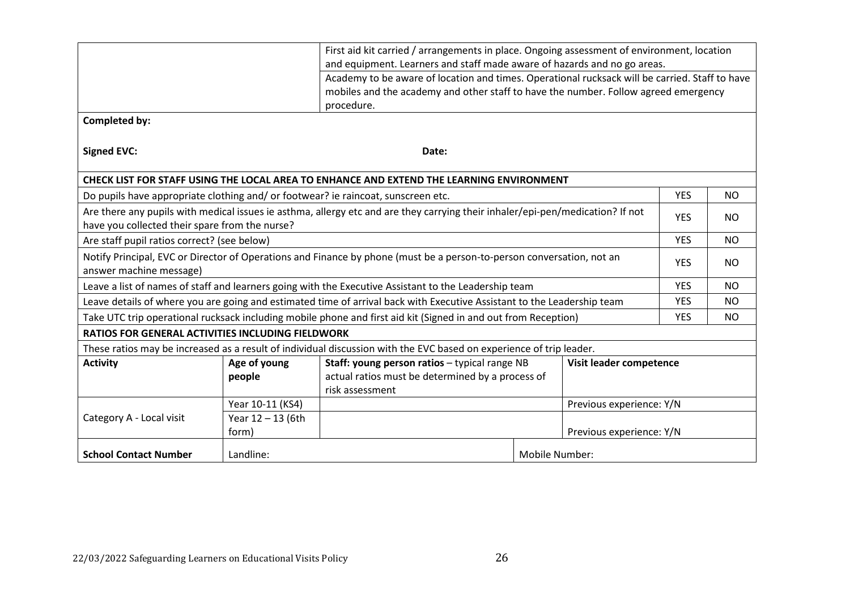|                                                                                                                                                  | First aid kit carried / arrangements in place. Ongoing assessment of environment, location<br>and equipment. Learners and staff made aware of hazards and no go areas.                              |                                                                                                                                                 |                |                          |            |           |
|--------------------------------------------------------------------------------------------------------------------------------------------------|-----------------------------------------------------------------------------------------------------------------------------------------------------------------------------------------------------|-------------------------------------------------------------------------------------------------------------------------------------------------|----------------|--------------------------|------------|-----------|
|                                                                                                                                                  | Academy to be aware of location and times. Operational rucksack will be carried. Staff to have<br>mobiles and the academy and other staff to have the number. Follow agreed emergency<br>procedure. |                                                                                                                                                 |                |                          |            |           |
| <b>Completed by:</b>                                                                                                                             |                                                                                                                                                                                                     |                                                                                                                                                 |                |                          |            |           |
| <b>Signed EVC:</b>                                                                                                                               |                                                                                                                                                                                                     | Date:                                                                                                                                           |                |                          |            |           |
|                                                                                                                                                  |                                                                                                                                                                                                     | CHECK LIST FOR STAFF USING THE LOCAL AREA TO ENHANCE AND EXTEND THE LEARNING ENVIRONMENT                                                        |                |                          |            |           |
| Do pupils have appropriate clothing and/ or footwear? ie raincoat, sunscreen etc.                                                                |                                                                                                                                                                                                     |                                                                                                                                                 |                |                          | <b>YES</b> | <b>NO</b> |
| have you collected their spare from the nurse?                                                                                                   |                                                                                                                                                                                                     | Are there any pupils with medical issues ie asthma, allergy etc and are they carrying their inhaler/epi-pen/medication? If not                  |                |                          | <b>YES</b> | NO        |
| Are staff pupil ratios correct? (see below)                                                                                                      |                                                                                                                                                                                                     |                                                                                                                                                 |                |                          | <b>YES</b> | <b>NO</b> |
| Notify Principal, EVC or Director of Operations and Finance by phone (must be a person-to-person conversation, not an<br>answer machine message) |                                                                                                                                                                                                     |                                                                                                                                                 |                |                          | <b>YES</b> | NO        |
| Leave a list of names of staff and learners going with the Executive Assistant to the Leadership team                                            |                                                                                                                                                                                                     |                                                                                                                                                 |                |                          | <b>YES</b> | <b>NO</b> |
| Leave details of where you are going and estimated time of arrival back with Executive Assistant to the Leadership team                          |                                                                                                                                                                                                     |                                                                                                                                                 |                |                          | <b>YES</b> | NO.       |
|                                                                                                                                                  |                                                                                                                                                                                                     | Take UTC trip operational rucksack including mobile phone and first aid kit (Signed in and out from Reception)                                  |                |                          | <b>YES</b> | NO.       |
| <b>RATIOS FOR GENERAL ACTIVITIES INCLUDING FIELDWORK</b>                                                                                         |                                                                                                                                                                                                     |                                                                                                                                                 |                |                          |            |           |
|                                                                                                                                                  |                                                                                                                                                                                                     | These ratios may be increased as a result of individual discussion with the EVC based on experience of trip leader.                             |                |                          |            |           |
| <b>Activity</b>                                                                                                                                  | Age of young<br>people                                                                                                                                                                              | Staff: young person ratios - typical range NB<br>Visit leader competence<br>actual ratios must be determined by a process of<br>risk assessment |                |                          |            |           |
|                                                                                                                                                  | Year 10-11 (KS4)                                                                                                                                                                                    |                                                                                                                                                 |                | Previous experience: Y/N |            |           |
| Category A - Local visit                                                                                                                         | Year 12 - 13 (6th<br>form)                                                                                                                                                                          | Previous experience: Y/N                                                                                                                        |                |                          |            |           |
| <b>School Contact Number</b>                                                                                                                     | Landline:                                                                                                                                                                                           |                                                                                                                                                 | Mobile Number: |                          |            |           |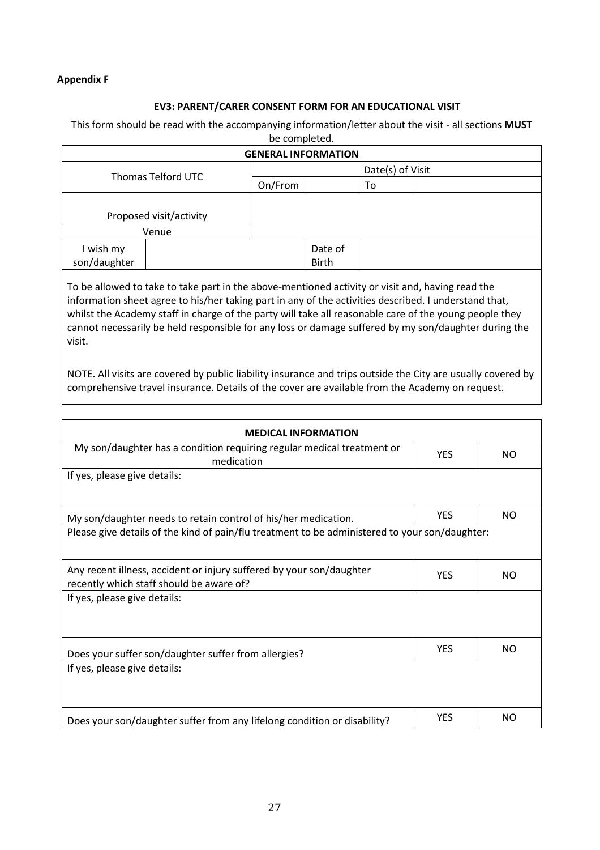#### **Appendix F**

#### **EV3: PARENT/CARER CONSENT FORM FOR AN EDUCATIONAL VISIT**

#### This form should be read with the accompanying information/letter about the visit - all sections **MUST**

| <b>GENERAL INFORMATION</b> |                         |                  |                         |    |  |
|----------------------------|-------------------------|------------------|-------------------------|----|--|
| <b>Thomas Telford UTC</b>  |                         | Date(s) of Visit |                         |    |  |
|                            |                         | On/From          |                         | To |  |
|                            |                         |                  |                         |    |  |
|                            | Proposed visit/activity |                  |                         |    |  |
|                            | Venue                   |                  |                         |    |  |
| I wish my<br>son/daughter  |                         |                  | Date of<br><b>Birth</b> |    |  |
|                            |                         |                  |                         |    |  |

To be allowed to take to take part in the above-mentioned activity or visit and, having read the information sheet agree to his/her taking part in any of the activities described. I understand that, whilst the Academy staff in charge of the party will take all reasonable care of the young people they cannot necessarily be held responsible for any loss or damage suffered by my son/daughter during the visit.

NOTE. All visits are covered by public liability insurance and trips outside the City are usually covered by comprehensive travel insurance. Details of the cover are available from the Academy on request.

| <b>MEDICAL INFORMATION</b>                                                                                       |            |     |  |  |
|------------------------------------------------------------------------------------------------------------------|------------|-----|--|--|
| My son/daughter has a condition requiring regular medical treatment or<br>medication                             | <b>YES</b> | NO. |  |  |
| If yes, please give details:                                                                                     |            |     |  |  |
| My son/daughter needs to retain control of his/her medication.                                                   | <b>YES</b> | NO. |  |  |
| Please give details of the kind of pain/flu treatment to be administered to your son/daughter:                   |            |     |  |  |
| Any recent illness, accident or injury suffered by your son/daughter<br>recently which staff should be aware of? | <b>YES</b> | NO. |  |  |
| If yes, please give details:                                                                                     |            |     |  |  |
| Does your suffer son/daughter suffer from allergies?                                                             | <b>YES</b> | NO. |  |  |
| If yes, please give details:                                                                                     |            |     |  |  |
| Does your son/daughter suffer from any lifelong condition or disability?                                         | <b>YES</b> | NO. |  |  |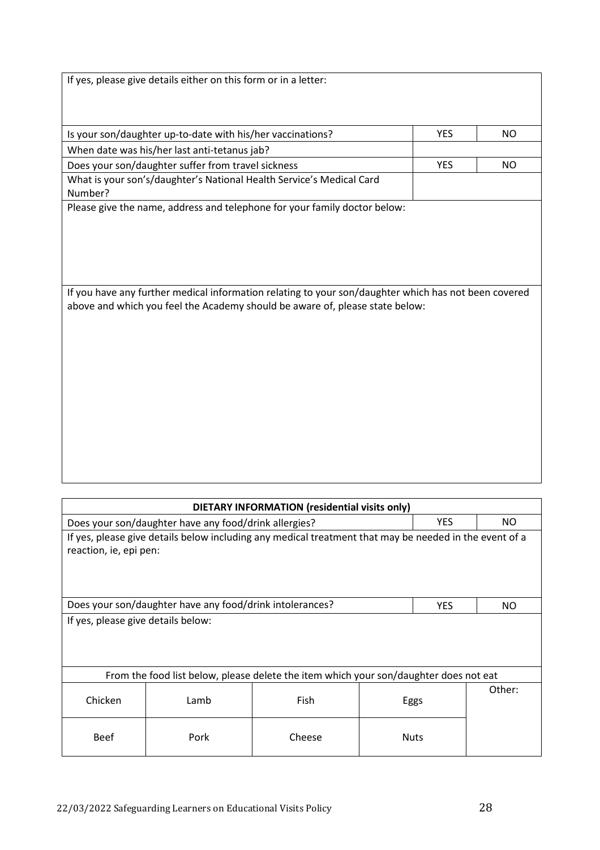| If yes, please give details either on this form or in a letter:                                      |            |           |  |  |  |
|------------------------------------------------------------------------------------------------------|------------|-----------|--|--|--|
|                                                                                                      |            |           |  |  |  |
|                                                                                                      |            |           |  |  |  |
|                                                                                                      |            |           |  |  |  |
| Is your son/daughter up-to-date with his/her vaccinations?                                           | <b>YES</b> | <b>NO</b> |  |  |  |
| When date was his/her last anti-tetanus jab?                                                         |            |           |  |  |  |
| Does your son/daughter suffer from travel sickness                                                   | <b>YES</b> | NO        |  |  |  |
| What is your son's/daughter's National Health Service's Medical Card<br>Number?                      |            |           |  |  |  |
| Please give the name, address and telephone for your family doctor below:                            |            |           |  |  |  |
|                                                                                                      |            |           |  |  |  |
|                                                                                                      |            |           |  |  |  |
|                                                                                                      |            |           |  |  |  |
|                                                                                                      |            |           |  |  |  |
|                                                                                                      |            |           |  |  |  |
| If you have any further medical information relating to your son/daughter which has not been covered |            |           |  |  |  |
| above and which you feel the Academy should be aware of, please state below:                         |            |           |  |  |  |
|                                                                                                      |            |           |  |  |  |
|                                                                                                      |            |           |  |  |  |
|                                                                                                      |            |           |  |  |  |
|                                                                                                      |            |           |  |  |  |
|                                                                                                      |            |           |  |  |  |
|                                                                                                      |            |           |  |  |  |
|                                                                                                      |            |           |  |  |  |
|                                                                                                      |            |           |  |  |  |
|                                                                                                      |            |           |  |  |  |
|                                                                                                      |            |           |  |  |  |
|                                                                                                      |            |           |  |  |  |

| DIETARY INFORMATION (residential visits only)                                                                                    |      |        |             |                |  |
|----------------------------------------------------------------------------------------------------------------------------------|------|--------|-------------|----------------|--|
| <b>YES</b><br>Does your son/daughter have any food/drink allergies?                                                              |      |        |             | NO.            |  |
| If yes, please give details below including any medical treatment that may be needed in the event of a<br>reaction, ie, epi pen: |      |        |             |                |  |
| Does your son/daughter have any food/drink intolerances?<br><b>YES</b><br>NO.                                                    |      |        |             |                |  |
| If yes, please give details below:                                                                                               |      |        |             |                |  |
| From the food list below, please delete the item which your son/daughter does not eat                                            |      |        |             |                |  |
| Chicken                                                                                                                          | Lamb | Fish   |             | Other:<br>Eggs |  |
| <b>Beef</b>                                                                                                                      | Pork | Cheese | <b>Nuts</b> |                |  |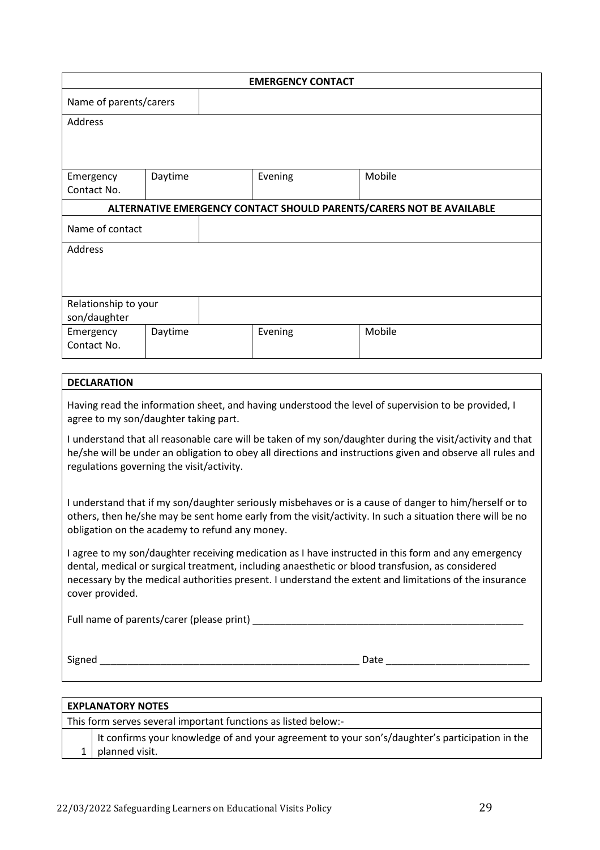|                                                                                                                           |                                           |  | <b>EMERGENCY CONTACT</b> |  |                                                                                                            |
|---------------------------------------------------------------------------------------------------------------------------|-------------------------------------------|--|--------------------------|--|------------------------------------------------------------------------------------------------------------|
| Name of parents/carers                                                                                                    |                                           |  |                          |  |                                                                                                            |
| <b>Address</b>                                                                                                            |                                           |  |                          |  |                                                                                                            |
|                                                                                                                           |                                           |  |                          |  |                                                                                                            |
|                                                                                                                           |                                           |  |                          |  |                                                                                                            |
| Emergency                                                                                                                 | Daytime                                   |  | Evening                  |  | Mobile                                                                                                     |
| Contact No.                                                                                                               |                                           |  |                          |  |                                                                                                            |
|                                                                                                                           |                                           |  |                          |  | ALTERNATIVE EMERGENCY CONTACT SHOULD PARENTS/CARERS NOT BE AVAILABLE                                       |
| Name of contact                                                                                                           |                                           |  |                          |  |                                                                                                            |
| Address                                                                                                                   |                                           |  |                          |  |                                                                                                            |
|                                                                                                                           |                                           |  |                          |  |                                                                                                            |
|                                                                                                                           |                                           |  |                          |  |                                                                                                            |
| Relationship to your                                                                                                      |                                           |  |                          |  |                                                                                                            |
| son/daughter                                                                                                              |                                           |  |                          |  |                                                                                                            |
| Emergency                                                                                                                 | Daytime                                   |  | Evening                  |  | Mobile                                                                                                     |
| Contact No.                                                                                                               |                                           |  |                          |  |                                                                                                            |
|                                                                                                                           |                                           |  |                          |  |                                                                                                            |
| <b>DECLARATION</b>                                                                                                        |                                           |  |                          |  |                                                                                                            |
|                                                                                                                           |                                           |  |                          |  | Having read the information sheet, and having understood the level of supervision to be provided, I        |
| agree to my son/daughter taking part.                                                                                     |                                           |  |                          |  |                                                                                                            |
|                                                                                                                           |                                           |  |                          |  | I understand that all reasonable care will be taken of my son/daughter during the visit/activity and that  |
|                                                                                                                           |                                           |  |                          |  | he/she will be under an obligation to obey all directions and instructions given and observe all rules and |
|                                                                                                                           | regulations governing the visit/activity. |  |                          |  |                                                                                                            |
|                                                                                                                           |                                           |  |                          |  |                                                                                                            |
|                                                                                                                           |                                           |  |                          |  | I understand that if my son/daughter seriously misbehaves or is a cause of danger to him/herself or to     |
| others, then he/she may be sent home early from the visit/activity. In such a situation there will be no                  |                                           |  |                          |  |                                                                                                            |
| obligation on the academy to refund any money.                                                                            |                                           |  |                          |  |                                                                                                            |
| I agree to my son/daughter receiving medication as I have instructed in this form and any emergency                       |                                           |  |                          |  |                                                                                                            |
| dental, medical or surgical treatment, including anaesthetic or blood transfusion, as considered                          |                                           |  |                          |  |                                                                                                            |
| necessary by the medical authorities present. I understand the extent and limitations of the insurance<br>cover provided. |                                           |  |                          |  |                                                                                                            |
|                                                                                                                           |                                           |  |                          |  |                                                                                                            |
|                                                                                                                           |                                           |  |                          |  |                                                                                                            |
|                                                                                                                           |                                           |  |                          |  |                                                                                                            |
|                                                                                                                           |                                           |  |                          |  |                                                                                                            |
|                                                                                                                           |                                           |  |                          |  |                                                                                                            |
|                                                                                                                           |                                           |  |                          |  |                                                                                                            |

| <b>EXPLANATORY NOTES</b>                                       |                                                                                                                      |  |  |  |
|----------------------------------------------------------------|----------------------------------------------------------------------------------------------------------------------|--|--|--|
| This form serves several important functions as listed below:- |                                                                                                                      |  |  |  |
|                                                                | It confirms your knowledge of and your agreement to your son's/daughter's participation in the<br>1   planned visit. |  |  |  |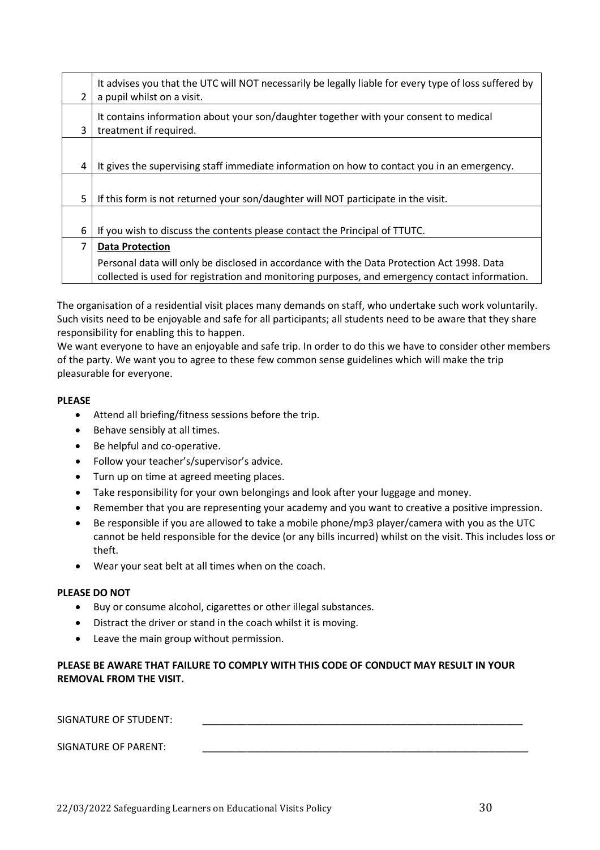|   | It advises you that the UTC will NOT necessarily be legally liable for every type of loss suffered by                                                                                        |
|---|----------------------------------------------------------------------------------------------------------------------------------------------------------------------------------------------|
| 2 | a pupil whilst on a visit.                                                                                                                                                                   |
|   | It contains information about your son/daughter together with your consent to medical                                                                                                        |
| 3 | treatment if required.                                                                                                                                                                       |
|   |                                                                                                                                                                                              |
| 4 | It gives the supervising staff immediate information on how to contact you in an emergency.                                                                                                  |
|   |                                                                                                                                                                                              |
| 5 | If this form is not returned your son/daughter will NOT participate in the visit.                                                                                                            |
|   |                                                                                                                                                                                              |
| 6 | If you wish to discuss the contents please contact the Principal of TTUTC.                                                                                                                   |
| 7 | <b>Data Protection</b>                                                                                                                                                                       |
|   | Personal data will only be disclosed in accordance with the Data Protection Act 1998. Data<br>collected is used for registration and monitoring purposes, and emergency contact information. |

The organisation of a residential visit places many demands on staff, who undertake such work voluntarily. Such visits need to be enjoyable and safe for all participants; all students need to be aware that they share responsibility for enabling this to happen.

We want everyone to have an enjoyable and safe trip. In order to do this we have to consider other members of the party. We want you to agree to these few common sense guidelines which will make the trip pleasurable for everyone.

#### **PLEASE**

- Attend all briefing/fitness sessions before the trip.
- Behave sensibly at all times.
- Be helpful and co-operative.
- Follow your teacher's/supervisor's advice.
- Turn up on time at agreed meeting places.
- Take responsibility for your own belongings and look after your luggage and money.
- Remember that you are representing your academy and you want to creative a positive impression.
- Be responsible if you are allowed to take a mobile phone/mp3 player/camera with you as the UTC cannot be held responsible for the device (or any bills incurred) whilst on the visit. This includes loss or theft.
- Wear your seat belt at all times when on the coach.

#### **PLEASE DO NOT**

- Buy or consume alcohol, cigarettes or other illegal substances.
- Distract the driver or stand in the coach whilst it is moving.
- Leave the main group without permission.

## **PLEASE BE AWARE THAT FAILURE TO COMPLY WITH THIS CODE OF CONDUCT MAY RESULT IN YOUR REMOVAL FROM THE VISIT.**

SIGNATURE OF STUDENT:

SIGNATURE OF PARENT: